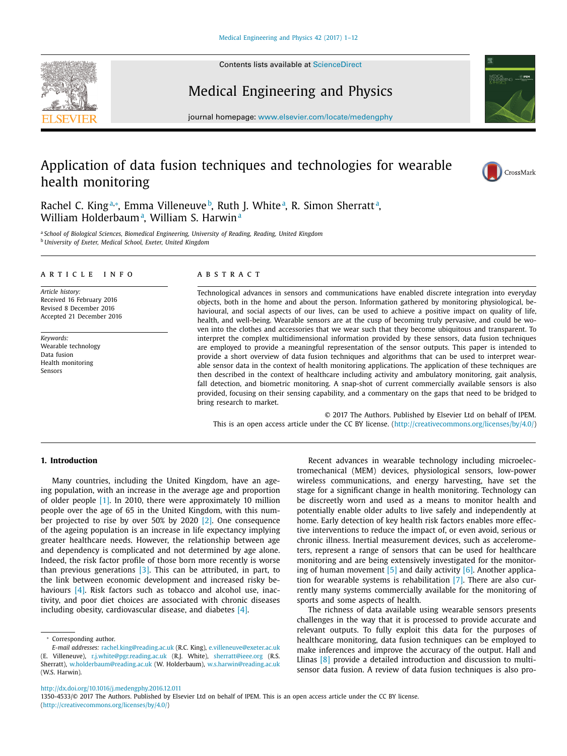Contents lists available at [ScienceDirect](http://www.ScienceDirect.com)





# Medical Engineering and Physics

journal homepage: [www.elsevier.com/locate/medengphy](http://www.elsevier.com/locate/medengphy)

# Application of data fusion techniques and technologies for wearable health monitoring



Rachel C. King<sup>a,</sup>\*, Emma Villeneuve <sup>b</sup>, Ruth J. White <sup>a</sup>, R. Simon Sherratt <sup>a</sup>, William Holderbaum<sup>a</sup>, William S. Harwin<sup>a</sup>

<sup>a</sup> *School of Biological Sciences, Biomedical Engineering, University of Reading, Reading, United Kingdom* <sup>b</sup> *University of Exeter, Medical School, Exeter, United Kingdom*

## a r t i c l e i n f o

*Article history:* Received 16 February 2016 Revised 8 December 2016 Accepted 21 December 2016

*Keywords:* Wearable technology Data fusion Health monitoring Sensors

## A B S T R A C T

Technological advances in sensors and communications have enabled discrete integration into everyday objects, both in the home and about the person. Information gathered by monitoring physiological, behavioural, and social aspects of our lives, can be used to achieve a positive impact on quality of life, health, and well-being. Wearable sensors are at the cusp of becoming truly pervasive, and could be woven into the clothes and accessories that we wear such that they become ubiquitous and transparent. To interpret the complex multidimensional information provided by these sensors, data fusion techniques are employed to provide a meaningful representation of the sensor outputs. This paper is intended to provide a short overview of data fusion techniques and algorithms that can be used to interpret wearable sensor data in the context of health monitoring applications. The application of these techniques are then described in the context of healthcare including activity and ambulatory monitoring, gait analysis, fall detection, and biometric monitoring. A snap-shot of current commercially available sensors is also provided, focusing on their sensing capability, and a commentary on the gaps that need to be bridged to bring research to market.

© 2017 The Authors. Published by Elsevier Ltd on behalf of IPEM. This is an open access article under the CC BY license. [\(http://creativecommons.org/licenses/by/4.0/\)](http://creativecommons.org/licenses/by/4.0/)

### **1. Introduction**

Many countries, including the United Kingdom, have an ageing population, with an increase in the average age and proportion of older people [\[1\].](#page-9-0) In 2010, there were approximately 10 million people over the age of 65 in the United Kingdom, with this number projected to rise by over 50% by 2020 [\[2\].](#page-9-0) One consequence of the ageing population is an increase in life expectancy implying greater healthcare needs. However, the relationship between age and dependency is complicated and not determined by age alone. Indeed, the risk factor profile of those born more recently is worse than previous generations [\[3\].](#page-9-0) This can be attributed, in part, to the link between economic development and increased risky be-haviours [\[4\].](#page-9-0) Risk factors such as tobacco and alcohol use, inactivity, and poor diet choices are associated with chronic diseases including obesity, cardiovascular disease, and diabetes [\[4\].](#page-9-0)

<sup>∗</sup> Corresponding author.

Recent advances in wearable technology including microelectromechanical (MEM) devices, physiological sensors, low-power wireless communications, and energy harvesting, have set the stage for a significant change in health monitoring. Technology can be discreetly worn and used as a means to monitor health and potentially enable older adults to live safely and independently at home. Early detection of key health risk factors enables more effective interventions to reduce the impact of, or even avoid, serious or chronic illness. Inertial measurement devices, such as accelerometers, represent a range of sensors that can be used for healthcare monitoring and are being extensively investigated for the monitoring of human movement  $[5]$  and daily activity  $[6]$ . Another application for wearable systems is rehabilitation [\[7\].](#page-9-0) There are also currently many systems commercially available for the monitoring of sports and some aspects of health.

The richness of data available using wearable sensors presents challenges in the way that it is processed to provide accurate and relevant outputs. To fully exploit this data for the purposes of healthcare monitoring, data fusion techniques can be employed to make inferences and improve the accuracy of the output. Hall and Llinas [\[8\]](#page-9-0) provide a detailed introduction and discussion to multisensor data fusion. A review of data fusion techniques is also pro-

<http://dx.doi.org/10.1016/j.medengphy.2016.12.011>

1350-4533/© 2017 The Authors. Published by Elsevier Ltd on behalf of IPEM. This is an open access article under the CC BY license. [\(http://creativecommons.org/licenses/by/4.0/\)](http://creativecommons.org/licenses/by/4.0/)

*E-mail addresses:* [rachel.king@reading.ac.uk](mailto:rachel.king@reading.ac.uk) (R.C. King), [e.villeneuve@exeter.ac.uk](mailto:e.villeneuve@exeter.ac.uk) (E. Villeneuve), [r.j.white@pgr.reading.ac.uk](mailto:r.j.white@pgr.reading.ac.uk) (R.J. White), [sherratt@ieee.org](mailto:sherratt@ieee.org) (R.S. Sherratt), [w.holderbaum@reading.ac.uk](mailto:w.holderbaum@reading.ac.uk) (W. Holderbaum), [w.s.harwin@reading.ac.uk](mailto:w.s.harwin@reading.ac.uk) (W.S. Harwin).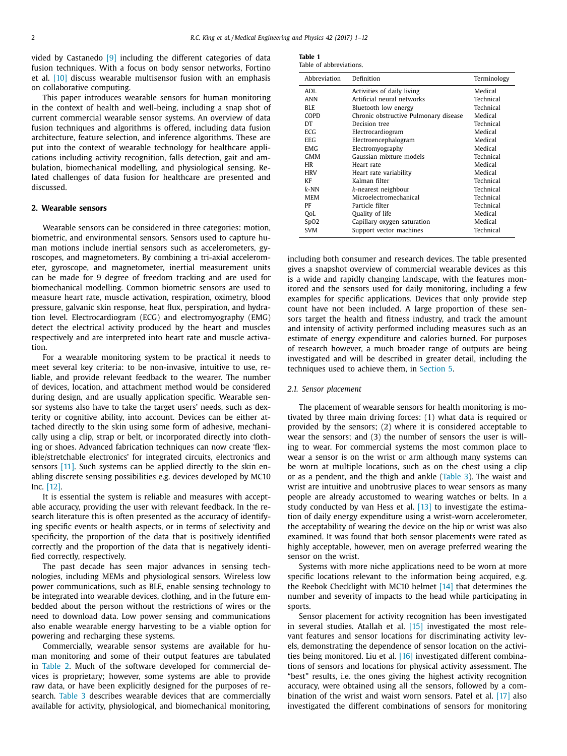vided by Castanedo [\[9\]](#page-9-0) including the different categories of data fusion techniques. With a focus on body sensor networks, Fortino et al. [\[10\]](#page-9-0) discuss wearable multisensor fusion with an emphasis on collaborative computing.

This paper introduces wearable sensors for human monitoring in the context of health and well-being, including a snap shot of current commercial wearable sensor systems. An overview of data fusion techniques and algorithms is offered, including data fusion architecture, feature selection, and inference algorithms. These are put into the context of wearable technology for healthcare applications including activity recognition, falls detection, gait and ambulation, biomechanical modelling, and physiological sensing. Related challenges of data fusion for healthcare are presented and discussed.

# **2. Wearable sensors**

Wearable sensors can be considered in three categories: motion, biometric, and environmental sensors. Sensors used to capture human motions include inertial sensors such as accelerometers, gyroscopes, and magnetometers. By combining a tri-axial accelerometer, gyroscope, and magnetometer, inertial measurement units can be made for 9 degree of freedom tracking and are used for biomechanical modelling. Common biometric sensors are used to measure heart rate, muscle activation, respiration, oximetry, blood pressure, galvanic skin response, heat flux, perspiration, and hydration level. Electrocardiogram (ECG) and electromyography (EMG) detect the electrical activity produced by the heart and muscles respectively and are interpreted into heart rate and muscle activation.

For a wearable monitoring system to be practical it needs to meet several key criteria: to be non-invasive, intuitive to use, reliable, and provide relevant feedback to the wearer. The number of devices, location, and attachment method would be considered during design, and are usually application specific. Wearable sensor systems also have to take the target users' needs, such as dexterity or cognitive ability, into account. Devices can be either attached directly to the skin using some form of adhesive, mechanically using a clip, strap or belt, or incorporated directly into clothing or shoes. Advanced fabrication techniques can now create 'flexible/stretchable electronics' for integrated circuits, electronics and sensors [\[11\].](#page-9-0) Such systems can be applied directly to the skin enabling discrete sensing possibilities e.g. devices developed by MC10 Inc. [\[12\].](#page-9-0)

It is essential the system is reliable and measures with acceptable accuracy, providing the user with relevant feedback. In the research literature this is often presented as the accuracy of identifying specific events or health aspects, or in terms of selectivity and specificity, the proportion of the data that is positively identified correctly and the proportion of the data that is negatively identified correctly, respectively.

The past decade has seen major advances in sensing technologies, including MEMs and physiological sensors. Wireless low power communications, such as BLE, enable sensing technology to be integrated into wearable devices, clothing, and in the future embedded about the person without the restrictions of wires or the need to download data. Low power sensing and communications also enable wearable energy harvesting to be a viable option for powering and recharging these systems.

Commercially, wearable sensor systems are available for human monitoring and some of their output features are tabulated in [Table](#page-2-0) 2. Much of the software developed for commercial devices is proprietary; however, some systems are able to provide raw data, or have been explicitly designed for the purposes of research. [Table](#page-3-0) 3 describes wearable devices that are commercially available for activity, physiological, and biomechanical monitoring,

| Table 1 |                         |
|---------|-------------------------|
|         | Table of abbreviations. |

| Abbreviation | Definition                            | Terminology |
|--------------|---------------------------------------|-------------|
| ADI.         | Activities of daily living            | Medical     |
| ANN          | Artificial neural networks            | Technical   |
| BLE.         | Bluetooth low energy                  | Technical   |
| COPD         | Chronic obstructive Pulmonary disease | Medical     |
| DT           | Decision tree                         | Technical   |
| ECG.         | Electrocardiogram                     | Medical     |
| EEG.         | Electroencephalogram                  | Medical     |
| EMG.         | Electromyography                      | Medical     |
| <b>GMM</b>   | Gaussian mixture models               | Technical   |
| HR           | Heart rate                            | Medical     |
| <b>HRV</b>   | Heart rate variability                | Medical     |
| KF           | Kalman filter                         | Technical   |
| $k$ -NN      | k-nearest neighbour                   | Technical   |
| MEM          | Microelectromechanical                | Technical   |
| PF           | Particle filter                       | Technical   |
| QoL          | Quality of life                       | Medical     |
| SpO2         | Capillary oxygen saturation           | Medical     |
| <b>SVM</b>   | Support vector machines               | Technical   |

including both consumer and research devices. The table presented gives a snapshot overview of commercial wearable devices as this is a wide and rapidly changing landscape, with the features monitored and the sensors used for daily monitoring, including a few examples for specific applications. Devices that only provide step count have not been included. A large proportion of these sensors target the health and fitness industry, and track the amount and intensity of activity performed including measures such as an estimate of energy expenditure and calories burned. For purposes of research however, a much broader range of outputs are being investigated and will be described in greater detail, including the techniques used to achieve them, in [Section](#page-6-0) 5.

#### *2.1. Sensor placement*

The placement of wearable sensors for health monitoring is motivated by three main driving forces: (1) what data is required or provided by the sensors; (2) where it is considered acceptable to wear the sensors; and (3) the number of sensors the user is willing to wear. For commercial systems the most common place to wear a sensor is on the wrist or arm although many systems can be worn at multiple locations, such as on the chest using a clip or as a pendent, and the thigh and ankle [\(Table](#page-3-0) 3). The waist and wrist are intuitive and unobtrusive places to wear sensors as many people are already accustomed to wearing watches or belts. In a study conducted by van Hess et al. [\[13\]](#page-10-0) to investigate the estimation of daily energy expenditure using a wrist-worn accelerometer, the acceptability of wearing the device on the hip or wrist was also examined. It was found that both sensor placements were rated as highly acceptable, however, men on average preferred wearing the sensor on the wrist.

Systems with more niche applications need to be worn at more specific locations relevant to the information being acquired, e.g. the Reebok Checklight with MC10 helmet [\[14\]](#page-10-0) that determines the number and severity of impacts to the head while participating in sports.

Sensor placement for activity recognition has been investigated in several studies. Atallah et al. [\[15\]](#page-10-0) investigated the most relevant features and sensor locations for discriminating activity levels, demonstrating the dependence of sensor location on the activities being monitored. Liu et al. [\[16\]](#page-10-0) investigated different combinations of sensors and locations for physical activity assessment. The "best" results, i.e. the ones giving the highest activity recognition accuracy, were obtained using all the sensors, followed by a combination of the wrist and waist worn sensors. Patel et al. [\[17\]](#page-10-0) also investigated the different combinations of sensors for monitoring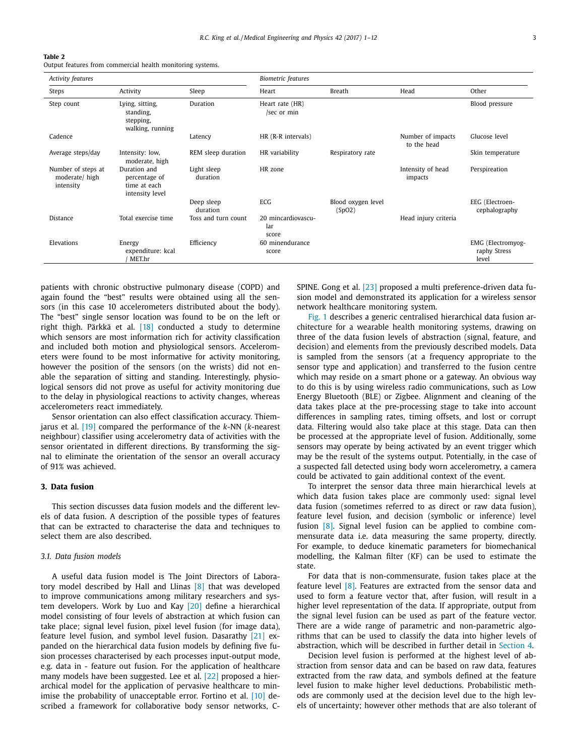#### <span id="page-2-0"></span>**Table 2**

Output features from commercial health monitoring systems.

| Activity features                                |                                                                  |                         | <b>Biometric</b> features          |                              |                                  |                                            |
|--------------------------------------------------|------------------------------------------------------------------|-------------------------|------------------------------------|------------------------------|----------------------------------|--------------------------------------------|
| Steps                                            | Activity                                                         | Sleep                   | Heart                              | <b>Breath</b>                | Head                             | Other                                      |
| Step count                                       | Lying, sitting,<br>standing,<br>stepping,<br>walking, running    | Duration                | Heart rate (HR)<br>/sec or min     |                              |                                  | Blood pressure                             |
| Cadence                                          |                                                                  | Latency                 | HR (R-R intervals)                 |                              | Number of impacts<br>to the head | Glucose level                              |
| Average steps/day                                | Intensity: low,<br>moderate, high                                | REM sleep duration      | HR variability                     | Respiratory rate             |                                  | Skin temperature                           |
| Number of steps at<br>moderate/high<br>intensity | Duration and<br>percentage of<br>time at each<br>intensity level | Light sleep<br>duration | HR zone                            |                              | Intensity of head<br>impacts     | Perspireation                              |
|                                                  |                                                                  | Deep sleep<br>duration  | ECG                                | Blood oxygen level<br>(SpO2) |                                  | EEG (Electroen-<br>cephalography           |
| Distance                                         | Total exercise time                                              | Toss and turn count     | 20 mincardiovascu-<br>lar<br>score |                              | Head injury criteria             |                                            |
| Elevations                                       | Energy<br>expenditure: kcal<br>MET.hr                            | Efficiency              | 60 minendurance<br>score           |                              |                                  | EMG (Electromyog-<br>raphy Stress<br>level |

patients with chronic obstructive pulmonary disease (COPD) and again found the "best" results were obtained using all the sensors (in this case 10 accelerometers distributed about the body). The "best" single sensor location was found to be on the left or right thigh. Pärkkä et al. [\[18\]](#page-10-0) conducted a study to determine which sensors are most information rich for activity classification and included both motion and physiological sensors. Accelerometers were found to be most informative for activity monitoring, however the position of the sensors (on the wrists) did not enable the separation of sitting and standing. Interestingly, physiological sensors did not prove as useful for activity monitoring due to the delay in physiological reactions to activity changes, whereas accelerometers react immediately.

Sensor orientation can also effect classification accuracy. Thiemjarus et al. [\[19\]](#page-10-0) compared the performance of the *k*-NN (*k*-nearest neighbour) classifier using accelerometry data of activities with the sensor orientated in different directions. By transforming the signal to eliminate the orientation of the sensor an overall accuracy of 91% was achieved.

# **3. Data fusion**

This section discusses data fusion models and the different levels of data fusion. A description of the possible types of features that can be extracted to characterise the data and techniques to select them are also described.

### *3.1. Data fusion models*

A useful data fusion model is The Joint Directors of Laboratory model described by Hall and Llinas [\[8\]](#page-9-0) that was developed to improve communications among military researchers and system developers. Work by Luo and Kay [\[20\]](#page-10-0) define a hierarchical model consisting of four levels of abstraction at which fusion can take place; signal level fusion, pixel level fusion (for image data), feature level fusion, and symbol level fusion. Dasarathy [\[21\]](#page-10-0) expanded on the hierarchical data fusion models by defining five fusion processes characterised by each processes input-output mode, e.g. data in - feature out fusion. For the application of healthcare many models have been suggested. Lee et al. [\[22\]](#page-10-0) proposed a hierarchical model for the application of pervasive healthcare to min-imise the probability of unacceptable error. Fortino et al. [\[10\]](#page-9-0) described a framework for collaborative body sensor networks, C- SPINE. Gong et al. [\[23\]](#page-10-0) proposed a multi preference-driven data fusion model and demonstrated its application for a wireless sensor network healthcare monitoring system.

[Fig.](#page-4-0) 1 describes a generic centralised hierarchical data fusion architecture for a wearable health monitoring systems, drawing on three of the data fusion levels of abstraction (signal, feature, and decision) and elements from the previously described models. Data is sampled from the sensors (at a frequency appropriate to the sensor type and application) and transferred to the fusion centre which may reside on a smart phone or a gateway. An obvious way to do this is by using wireless radio communications, such as Low Energy Bluetooth (BLE) or Zigbee. Alignment and cleaning of the data takes place at the pre-processing stage to take into account differences in sampling rates, timing offsets, and lost or corrupt data. Filtering would also take place at this stage. Data can then be processed at the appropriate level of fusion. Additionally, some sensors may operate by being activated by an event trigger which may be the result of the systems output. Potentially, in the case of a suspected fall detected using body worn accelerometry, a camera could be activated to gain additional context of the event.

To interpret the sensor data three main hierarchical levels at which data fusion takes place are commonly used: signal level data fusion (sometimes referred to as direct or raw data fusion), feature level fusion, and decision (symbolic or inference) level fusion [\[8\].](#page-9-0) Signal level fusion can be applied to combine commensurate data i.e. data measuring the same property, directly. For example, to deduce kinematic parameters for biomechanical modelling, the Kalman filter (KF) can be used to estimate the state.

For data that is non-commensurate, fusion takes place at the feature level [\[8\].](#page-9-0) Features are extracted from the sensor data and used to form a feature vector that, after fusion, will result in a higher level representation of the data. If appropriate, output from the signal level fusion can be used as part of the feature vector. There are a wide range of parametric and non-parametric algorithms that can be used to classify the data into higher levels of abstraction, which will be described in further detail in [Section](#page-4-0) 4.

Decision level fusion is performed at the highest level of abstraction from sensor data and can be based on raw data, features extracted from the raw data, and symbols defined at the feature level fusion to make higher level deductions. Probabilistic methods are commonly used at the decision level due to the high levels of uncertainty; however other methods that are also tolerant of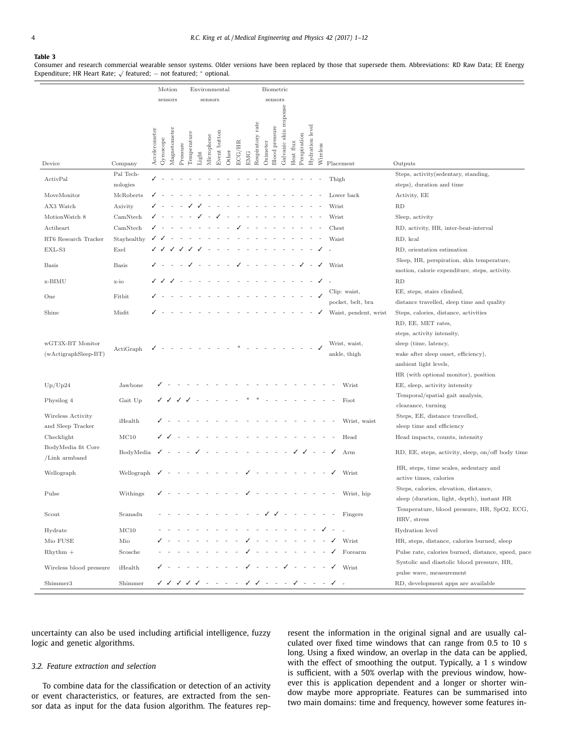#### <span id="page-3-0"></span>**Table 3**

Consumer and research commercial wearable sensor systems. Older versions have been replaced by those that supersede them. Abbreviations: RD Raw Data; EE Energy Expenditure; HR Heart Rate; <sup>√</sup> featured; <sup>−</sup> not featured; <sup>∗</sup> optional.

|                                |               |               |           | Motion       |          |             | Environmental |            |              | Biometric |        |            |                  |          |                                                         |               |           |              |                           |            |                                         |                                                                                                                           |
|--------------------------------|---------------|---------------|-----------|--------------|----------|-------------|---------------|------------|--------------|-----------|--------|------------|------------------|----------|---------------------------------------------------------|---------------|-----------|--------------|---------------------------|------------|-----------------------------------------|---------------------------------------------------------------------------------------------------------------------------|
|                                |               |               |           | sensors      |          |             |               | sensors    |              |           |        |            |                  |          | sensors                                                 |               |           |              |                           |            |                                         |                                                                                                                           |
|                                |               |               |           |              |          |             |               |            |              |           |        |            |                  |          |                                                         | response      |           |              |                           |            |                                         |                                                                                                                           |
| Device                         | Company       | Accelerometer | Gyroscope | Magnetometer | Pressure | Temperature | Light         | Microphone | Event button | Other     | ECG/HR | <b>EMG</b> | Respiratory rate | Oximeter | Blood pressure                                          | Galvanic skin | Heat flux | Perspiration | Hydration level           | Wireless   | Placement                               | Outputs                                                                                                                   |
| ActivPal                       | Pal Tech-     |               |           |              |          |             |               |            |              |           |        |            |                  |          |                                                         |               |           |              |                           |            | Thigh                                   | Steps, activity(sedentary, standing,                                                                                      |
|                                | nologies      |               |           |              |          |             |               |            |              |           |        |            |                  |          |                                                         |               |           |              |                           |            |                                         | steps), duration and time                                                                                                 |
| MoveMonitor                    | McRoberts     |               |           |              |          |             |               |            |              |           |        |            |                  |          |                                                         |               |           |              |                           |            | Lower back                              | Activity, EE                                                                                                              |
| AX3 Watch                      | Axivity       |               |           |              |          |             |               |            |              |           |        |            |                  |          |                                                         |               |           |              |                           |            | Wrist                                   | <b>RD</b>                                                                                                                 |
| MotionWatch 8                  | CamNtech      |               |           |              |          |             |               |            |              |           |        |            |                  |          |                                                         |               |           |              |                           |            | Wrist                                   | Sleep, activity                                                                                                           |
| Actiheart                      | CamNtech      |               |           |              |          |             |               |            |              |           |        |            |                  |          |                                                         |               |           |              |                           |            | Chest<br>Waist                          | RD, activity, HR, inter-beat-interval<br>RD, kcal                                                                         |
| RT6 Research Tracker<br>EXL-S3 | Stayhealthy   |               |           |              |          |             |               |            |              |           |        |            |                  |          |                                                         |               |           |              |                           |            |                                         |                                                                                                                           |
| <b>Basis</b>                   | Exel<br>Basis |               |           |              |          |             |               |            |              |           |        |            |                  |          |                                                         |               |           |              |                           |            | Wrist                                   | RD, orientation estimation<br>Sleep, HR, perspiration, skin temperature,<br>motion, calorie expenditure, steps, activity. |
| x-BIMU                         | x-io          |               |           |              |          |             |               |            |              |           |        |            |                  |          |                                                         |               |           |              |                           |            |                                         | RD                                                                                                                        |
|                                |               |               |           |              |          |             |               |            |              |           |        |            |                  |          |                                                         |               |           |              |                           |            | Clip: waist,                            | EE, steps, stairs climbed,                                                                                                |
| One                            | Fitbit        |               |           |              |          |             |               |            |              |           |        |            |                  |          |                                                         |               |           |              |                           |            | pocket, belt, bra                       | distance travelled, sleep time and quality                                                                                |
| Shine                          | Misfit        |               |           |              |          |             |               |            |              |           |        |            |                  |          |                                                         |               |           |              |                           |            | Waist, pendent, wrist                   | Steps, calories, distance, activities                                                                                     |
|                                |               |               |           |              |          |             |               |            |              |           |        |            |                  |          |                                                         |               |           |              |                           |            |                                         | RD, EE, MET rates,                                                                                                        |
|                                |               |               |           |              |          |             |               |            |              |           |        |            |                  |          |                                                         |               |           |              |                           |            |                                         | steps, activity intensity,                                                                                                |
| wGT3X-BT Monitor               | ActiGraph     |               |           |              |          |             |               |            |              |           |        |            |                  |          |                                                         |               |           |              |                           |            | Wrist, waist,                           | sleep (time, latency,                                                                                                     |
| (wActigraphSleep-BT)           |               |               |           |              |          |             |               |            |              |           |        |            |                  |          |                                                         |               |           |              |                           |            | ankle, thigh                            | wake after sleep onset, efficiency),                                                                                      |
|                                |               |               |           |              |          |             |               |            |              |           |        |            |                  |          |                                                         |               |           |              |                           |            |                                         | ambient light levels,                                                                                                     |
|                                |               |               |           |              |          |             |               |            |              |           |        |            |                  |          |                                                         |               |           |              |                           |            |                                         | HR (with optional monitor), position                                                                                      |
| Up/Up24                        | Jawbone       |               |           |              |          |             |               |            |              |           |        |            |                  |          |                                                         |               |           |              |                           |            | Wrist                                   | EE, sleep, activity intensity                                                                                             |
| Physilog 4                     | Gait Up       |               |           |              |          |             |               |            |              |           |        |            |                  |          |                                                         |               |           |              |                           |            | Foot                                    | Temporal/spatial gait analysis,                                                                                           |
| Wireless Activity              |               |               |           |              |          |             |               |            |              |           |        |            |                  |          |                                                         |               |           |              |                           |            |                                         | clearance, turning<br>Steps, EE, distance travelled,                                                                      |
| and Sleep Tracker              | iHealth       |               |           |              |          |             |               |            |              |           |        |            |                  |          |                                                         |               |           |              |                           |            | Wrist, waist                            | sleep time and efficiency                                                                                                 |
| Checklight                     | MC10          |               |           |              |          |             |               |            |              |           |        |            |                  |          |                                                         |               |           |              |                           |            | Head                                    | Head impacts, counts, intensity                                                                                           |
| BodyMedia fit Core             |               |               |           |              |          |             |               |            |              |           |        |            |                  |          |                                                         |               |           |              |                           |            |                                         |                                                                                                                           |
| /Link armband                  | BodyMedia     |               |           |              |          |             |               |            |              |           |        |            |                  |          |                                                         |               |           |              |                           |            | Arm                                     | RD, EE, steps, activity, sleep, on/off body time                                                                          |
| Wellograph                     | Wellograph    |               |           |              |          |             |               |            |              |           |        |            |                  |          |                                                         |               |           |              |                           |            | Wrist                                   | HR, steps, time scales, sedentary and<br>active times, calories                                                           |
|                                |               |               |           |              |          |             |               |            |              |           |        |            |                  |          |                                                         |               |           |              |                           |            |                                         | Steps, calories, elevation, distance,                                                                                     |
| Pulse                          | Withings      |               |           |              |          |             |               |            |              |           |        |            |                  |          |                                                         |               |           |              |                           |            | Wrist, hip                              | sleep (duration, light, depth), instant HR                                                                                |
| Scout                          | Scanadu       |               |           |              |          |             |               |            |              |           |        |            |                  |          |                                                         |               |           |              |                           |            | Fingers                                 | Temperature, blood pressure, HR, SpO2, ECG,<br>HRV, stress                                                                |
| Hydrate                        | MC10          |               |           |              |          |             |               |            |              |           |        |            |                  |          |                                                         |               |           |              |                           |            |                                         | Hydration level                                                                                                           |
| Mio FUSE                       | Mio           |               |           |              |          |             |               |            |              |           |        |            |                  |          |                                                         |               |           |              | $\sim$                    | $\sim$     | $\checkmark$<br>Wrist                   | HR, steps, distance, calories burned, sleep                                                                               |
| $R$ hythm $+$                  | Scosche       |               |           |              |          |             |               |            |              |           |        |            |                  |          |                                                         |               |           |              |                           | $\sim$     | Forearm<br>✓                            | Pulse rate, calories burned, distance, speed, pace                                                                        |
| Wireless blood pressure        | iHealth       |               |           |              |          |             |               |            |              |           |        |            | $\sim$           |          | $\mathcal{L}_{\rm{max}}$ , and $\mathcal{L}_{\rm{max}}$ |               |           |              | $\sqrt{2}$ and $\sqrt{2}$ | $\sim$ $-$ | $\checkmark$<br>Wrist                   | Systolic and diastolic blood pressure, HR,<br>pulse wave, measurement                                                     |
| Shimmer3                       | Shimmer       |               |           |              |          |             |               |            |              |           |        |            |                  |          |                                                         |               |           |              |                           |            | v v v v v - - - - v v - - - v - - - v - | RD, development apps are available                                                                                        |

uncertainty can also be used including artificial intelligence, fuzzy logic and genetic algorithms.

## *3.2. Feature extraction and selection*

To combine data for the classification or detection of an activity or event characteristics, or features, are extracted from the sensor data as input for the data fusion algorithm. The features represent the information in the original signal and are usually calculated over fixed time windows that can range from 0.5 to 10 s long. Using a fixed window, an overlap in the data can be applied, with the effect of smoothing the output. Typically, a 1 s window is sufficient, with a 50% overlap with the previous window, however this is application dependent and a longer or shorter window maybe more appropriate. Features can be summarised into two main domains: time and frequency, however some features in-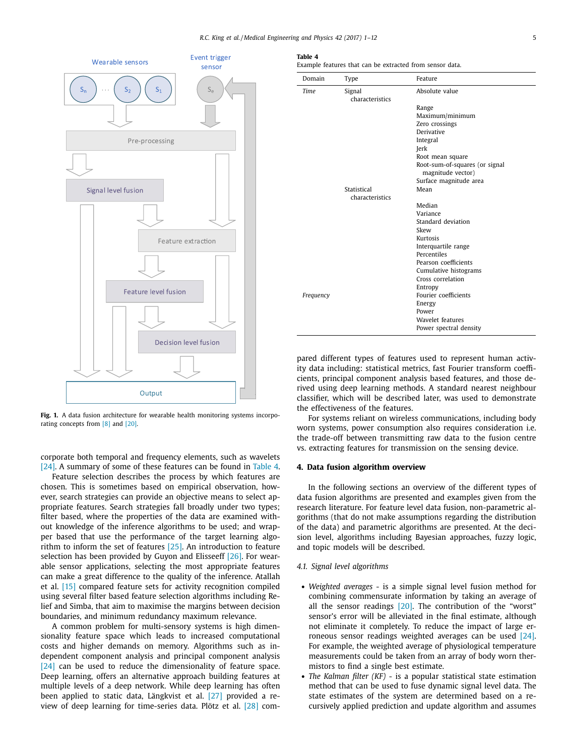<span id="page-4-0"></span>

**Fig. 1.** A data fusion architecture for wearable health monitoring systems incorporating concepts from [\[8\]](#page-9-0) and [\[20\].](#page-10-0)

corporate both temporal and frequency elements, such as wavelets [\[24\].](#page-10-0) A summary of some of these features can be found in Table 4.

Feature selection describes the process by which features are chosen. This is sometimes based on empirical observation, however, search strategies can provide an objective means to select appropriate features. Search strategies fall broadly under two types; filter based, where the properties of the data are examined without knowledge of the inference algorithms to be used; and wrapper based that use the performance of the target learning algorithm to inform the set of features [\[25\].](#page-10-0) An introduction to feature selection has been provided by Guyon and Elisseeff [\[26\].](#page-10-0) For wearable sensor applications, selecting the most appropriate features can make a great difference to the quality of the inference. Atallah et al. [\[15\]](#page-10-0) compared feature sets for activity recognition compiled using several filter based feature selection algorithms including Relief and Simba, that aim to maximise the margins between decision boundaries, and minimum redundancy maximum relevance.

A common problem for multi-sensory systems is high dimensionality feature space which leads to increased computational costs and higher demands on memory. Algorithms such as independent component analysis and principal component analysis [\[24\]](#page-10-0) can be used to reduce the dimensionality of feature space. Deep learning, offers an alternative approach building features at multiple levels of a deep network. While deep learning has often been applied to static data, Längkvist et al. [\[27\]](#page-10-0) provided a review of deep learning for time-series data. Plötz et al. [\[28\]](#page-10-0) com-

| Table 4 |  |  |                                                          |  |  |
|---------|--|--|----------------------------------------------------------|--|--|
|         |  |  | Example features that can be extracted from sensor data. |  |  |

| Domain    | Type            | Feature                                             |
|-----------|-----------------|-----------------------------------------------------|
| Time      | Signal          | Absolute value                                      |
|           | characteristics |                                                     |
|           |                 | Range                                               |
|           |                 | Maximum/minimum                                     |
|           |                 | Zero crossings                                      |
|           |                 | Derivative                                          |
|           |                 | Integral                                            |
|           |                 | Jerk                                                |
|           |                 | Root mean square                                    |
|           |                 | Root-sum-of-squares (or signal<br>magnitude vector) |
|           |                 | Surface magnitude area                              |
|           | Statistical     | Mean                                                |
|           | characteristics |                                                     |
|           |                 | Median                                              |
|           |                 | Variance                                            |
|           |                 | Standard deviation                                  |
|           |                 | Skew                                                |
|           |                 | Kurtosis                                            |
|           |                 | Interquartile range                                 |
|           |                 | Percentiles                                         |
|           |                 | Pearson coefficients                                |
|           |                 | Cumulative histograms                               |
|           |                 | Cross correlation                                   |
|           |                 | Entropy                                             |
| Frequency |                 | Fourier coefficients                                |
|           |                 | Energy                                              |
|           |                 | Power                                               |
|           |                 | Wavelet features                                    |
|           |                 | Power spectral density                              |

pared different types of features used to represent human activity data including: statistical metrics, fast Fourier transform coefficients, principal component analysis based features, and those derived using deep learning methods. A standard nearest neighbour classifier, which will be described later, was used to demonstrate the effectiveness of the features.

For systems reliant on wireless communications, including body worn systems, power consumption also requires consideration i.e. the trade-off between transmitting raw data to the fusion centre vs. extracting features for transmission on the sensing device.

#### **4. Data fusion algorithm overview**

In the following sections an overview of the different types of data fusion algorithms are presented and examples given from the research literature. For feature level data fusion, non-parametric algorithms (that do not make assumptions regarding the distribution of the data) and parametric algorithms are presented. At the decision level, algorithms including Bayesian approaches, fuzzy logic, and topic models will be described.

### *4.1. Signal level algorithms*

- *Weighted averages* is a simple signal level fusion method for combining commensurate information by taking an average of all the sensor readings [\[20\].](#page-10-0) The contribution of the "worst" sensor's error will be alleviated in the final estimate, although not eliminate it completely. To reduce the impact of large erroneous sensor readings weighted averages can be used [\[24\].](#page-10-0) For example, the weighted average of physiological temperature measurements could be taken from an array of body worn thermistors to find a single best estimate.
- *The Kalman filter (KF)* is a popular statistical state estimation method that can be used to fuse dynamic signal level data. The state estimates of the system are determined based on a recursively applied prediction and update algorithm and assumes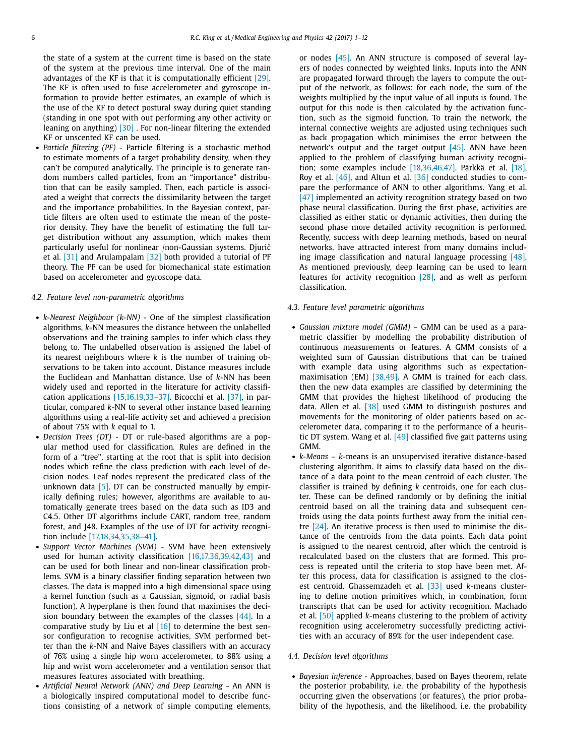the state of a system at the current time is based on the state of the system at the previous time interval. One of the main advantages of the KF is that it is computationally efficient [\[29\].](#page-10-0) The KF is often used to fuse accelerometer and gyroscope information to provide better estimates, an example of which is the use of the KF to detect postural sway during quiet standing (standing in one spot with out performing any other activity or leaning on anything) [\[30\]](#page-10-0) . For non-linear filtering the extended KF or unscented KF can be used.

• *Particle filtering (PF)* - Particle filtering is a stochastic method to estimate moments of a target probability density, when they can't be computed analytically. The principle is to generate random numbers called particles, from an "importance" distribution that can be easily sampled. Then, each particle is associated a weight that corrects the dissimilarity between the target and the importance probabilities. In the Bayesian context, particle filters are often used to estimate the mean of the posterior density. They have the benefit of estimating the full target distribution without any assumption, which makes them particularly useful for nonlinear /non-Gaussian systems. Djurić et al. [\[31\]](#page-10-0) and Arulampalam [\[32\]](#page-10-0) both provided a tutorial of PF theory. The PF can be used for biomechanical state estimation based on accelerometer and gyroscope data.

#### *4.2. Feature level non-parametric algorithms*

- *k-Nearest Neighbour (k-NN)* One of the simplest classification algorithms, *k*-NN measures the distance between the unlabelled observations and the training samples to infer which class they belong to. The unlabelled observation is assigned the label of its nearest neighbours where *k* is the number of training observations to be taken into account. Distance measures include the Euclidean and Manhattan distance. Use of *k*-NN has been widely used and reported in the literature for activity classification applications [\[15,16,19,33–37\].](#page-10-0) Bicocchi et al. [\[37\],](#page-10-0) in particular, compared *k*-NN to several other instance based learning algorithms using a real-life activity set and achieved a precision of about 75% with *k* equal to 1.
- *Decision Trees (DT)* DT or rule-based algorithms are a popular method used for classification. Rules are defined in the form of a "tree", starting at the root that is split into decision nodes which refine the class prediction with each level of decision nodes. Leaf nodes represent the predicated class of the unknown data  $[5]$ . DT can be constructed manually by empirically defining rules; however, algorithms are available to automatically generate trees based on the data such as ID3 and C4.5. Other DT algorithms include CART, random tree, random forest, and J48. Examples of the use of DT for activity recognition include [\[17,18,34,35,38–41\].](#page-10-0)
- *Support Vector Machines (SVM)* SVM have been extensively used for human activity classification [\[16,17,36,39,42,43\]](#page-10-0) and can be used for both linear and non-linear classification problems. SVM is a binary classifier finding separation between two classes. The data is mapped into a high dimensional space using a kernel function (such as a Gaussian, sigmoid, or radial basis function). A hyperplane is then found that maximises the decision boundary between the examples of the classes  $[44]$ . In a comparative study by Liu et al  $[16]$  to determine the best sensor configuration to recognise activities, SVM performed better than the *k*-NN and Naive Bayes classifiers with an accuracy of 76% using a single hip worn accelerometer, to 88% using a hip and wrist worn accelerometer and a ventilation sensor that measures features associated with breathing.
- *Artificial Neural Network (ANN) and Deep Learning* An ANN is a biologically inspired computational model to describe functions consisting of a network of simple computing elements,

or nodes [\[45\].](#page-10-0) An ANN structure is composed of several layers of nodes connected by weighted links. Inputs into the ANN are propagated forward through the layers to compute the output of the network, as follows: for each node, the sum of the weights multiplied by the input value of all inputs is found. The output for this node is then calculated by the activation function, such as the sigmoid function. To train the network, the internal connective weights are adjusted using techniques such as back propagation which minimises the error between the network's output and the target output [\[45\].](#page-10-0) ANN have been applied to the problem of classifying human activity recognition; some examples include [\[18,36,46,47\].](#page-10-0) Pärkkä et al. [\[18\],](#page-10-0) Roy et al. [\[46\],](#page-10-0) and Altun et al. [\[36\]](#page-10-0) conducted studies to compare the performance of ANN to other algorithms. Yang et al. [\[47\]](#page-10-0) implemented an activity recognition strategy based on two phase neural classification. During the first phase, activities are classified as either static or dynamic activities, then during the second phase more detailed activity recognition is performed. Recently, success with deep learning methods, based on neural networks, have attracted interest from many domains including image classification and natural language processing [\[48\].](#page-10-0) As mentioned previously, deep learning can be used to learn features for activity recognition [\[28\],](#page-10-0) and as well as perform classification.

#### *4.3. Feature level parametric algorithms*

- *Gaussian mixture model (GMM)* GMM can be used as a parametric classifier by modelling the probability distribution of continuous measurements or features. A GMM consists of a weighted sum of Gaussian distributions that can be trained with example data using algorithms such as expectation-maximisation (EM) [\[38,49\].](#page-10-0) A GMM is trained for each class, then the new data examples are classified by determining the GMM that provides the highest likelihood of producing the data. Allen et al. [\[38\]](#page-10-0) used GMM to distinguish postures and movements for the monitoring of older patients based on accelerometer data, comparing it to the performance of a heuristic DT system. Wang et al. [\[49\]](#page-10-0) classified five gait patterns using GMM.
- *k-Means k*-means is an unsupervised iterative distance-based clustering algorithm. It aims to classify data based on the distance of a data point to the mean centroid of each cluster. The classifier is trained by defining *k* centroids, one for each cluster. These can be defined randomly or by defining the initial centroid based on all the training data and subsequent centroids using the data points furthest away from the initial centre [\[24\].](#page-10-0) An iterative process is then used to minimise the distance of the centroids from the data points. Each data point is assigned to the nearest centroid, after which the centroid is recalculated based on the clusters that are formed. This process is repeated until the criteria to stop have been met. After this process, data for classification is assigned to the closest centroid. Ghassemzadeh et al. [\[33\]](#page-10-0) used *k*-means clustering to define motion primitives which, in combination, form transcripts that can be used for activity recognition. Machado et al. [\[50\]](#page-10-0) applied *k*-means clustering to the problem of activity recognition using accelerometry successfully predicting activities with an accuracy of 89% for the user independent case.

#### *4.4. Decision level algorithms*

• *Bayesian inference* - Approaches, based on Bayes theorem, relate the posterior probability, i.e. the probability of the hypothesis occurring given the observations (or features), the prior probability of the hypothesis, and the likelihood, i.e. the probability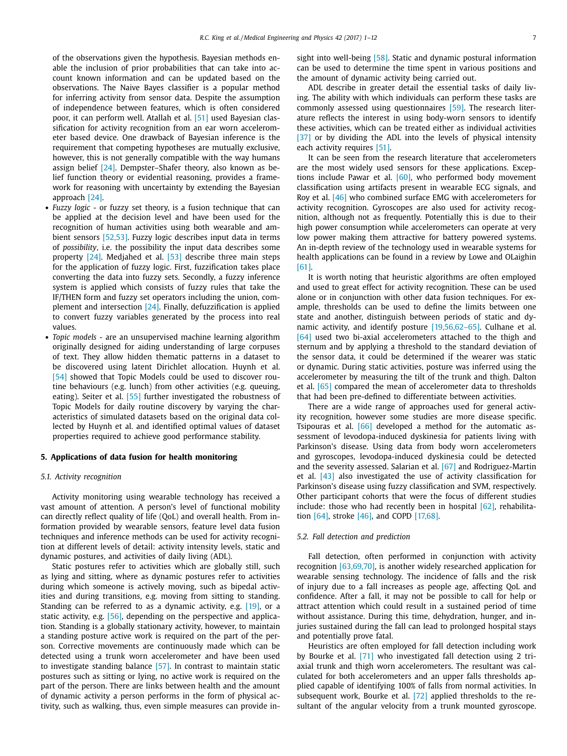<span id="page-6-0"></span>of the observations given the hypothesis. Bayesian methods enable the inclusion of prior probabilities that can take into account known information and can be updated based on the observations. The Naive Bayes classifier is a popular method for inferring activity from sensor data. Despite the assumption of independence between features, which is often considered poor, it can perform well. Atallah et al. [\[51\]](#page-10-0) used Bayesian classification for activity recognition from an ear worn accelerometer based device. One drawback of Bayesian inference is the requirement that competing hypotheses are mutually exclusive, however, this is not generally compatible with the way humans assign belief  $[24]$ . Dempster–Shafer theory, also known as belief function theory or evidential reasoning, provides a framework for reasoning with uncertainty by extending the Bayesian approach [\[24\].](#page-10-0)

- *Fuzzy logic* or fuzzy set theory, is a fusion technique that can be applied at the decision level and have been used for the recognition of human activities using both wearable and ambient sensors [\[52,53\].](#page-10-0) Fuzzy logic describes input data in terms of *possibility*, i.e. the possibility the input data describes some property [\[24\].](#page-10-0) Medjahed et al. [\[53\]](#page-10-0) describe three main steps for the application of fuzzy logic. First, fuzzification takes place converting the data into fuzzy sets. Secondly, a fuzzy inference system is applied which consists of fuzzy rules that take the IF/THEN form and fuzzy set operators including the union, complement and intersection [\[24\].](#page-10-0) Finally, defuzzification is applied to convert fuzzy variables generated by the process into real values.
- *Topic models* are an unsupervised machine learning algorithm originally designed for aiding understanding of large corpuses of text. They allow hidden thematic patterns in a dataset to be discovered using latent Dirichlet allocation. Huynh et al. [\[54\]](#page-10-0) showed that Topic Models could be used to discover routine behaviours (e.g. lunch) from other activities (e.g. queuing, eating). Seiter et al. [\[55\]](#page-10-0) further investigated the robustness of Topic Models for daily routine discovery by varying the characteristics of simulated datasets based on the original data collected by Huynh et al. and identified optimal values of dataset properties required to achieve good performance stability.

#### **5. Applications of data fusion for health monitoring**

#### *5.1. Activity recognition*

Activity monitoring using wearable technology has received a vast amount of attention. A person's level of functional mobility can directly reflect quality of life (QoL) and overall health. From information provided by wearable sensors, feature level data fusion techniques and inference methods can be used for activity recognition at different levels of detail: activity intensity levels, static and dynamic postures, and activities of daily living (ADL).

Static postures refer to activities which are globally still, such as lying and sitting, where as dynamic postures refer to activities during which someone is actively moving, such as bipedal activities and during transitions, e.g. moving from sitting to standing. Standing can be referred to as a dynamic activity, e.g. [\[19\],](#page-10-0) or a static activity, e.g. [\[56\],](#page-10-0) depending on the perspective and application. Standing is a globally stationary activity, however, to maintain a standing posture active work is required on the part of the person. Corrective movements are continuously made which can be detected using a trunk worn accelerometer and have been used to investigate standing balance [\[57\].](#page-10-0) In contrast to maintain static postures such as sitting or lying, no active work is required on the part of the person. There are links between health and the amount of dynamic activity a person performs in the form of physical activity, such as walking, thus, even simple measures can provide insight into well-being [\[58\].](#page-10-0) Static and dynamic postural information can be used to determine the time spent in various positions and the amount of dynamic activity being carried out.

ADL describe in greater detail the essential tasks of daily living. The ability with which individuals can perform these tasks are commonly assessed using questionnaires [\[59\].](#page-10-0) The research literature reflects the interest in using body-worn sensors to identify these activities, which can be treated either as individual activities [\[37\]](#page-10-0) or by dividing the ADL into the levels of physical intensity each activity requires [\[51\].](#page-10-0)

It can be seen from the research literature that accelerometers are the most widely used sensors for these applications. Exceptions include Pawar et al. [\[60\],](#page-10-0) who performed body movement classification using artifacts present in wearable ECG signals, and Roy et al. [\[46\]](#page-10-0) who combined surface EMG with accelerometers for activity recognition. Gyroscopes are also used for activity recognition, although not as frequently. Potentially this is due to their high power consumption while accelerometers can operate at very low power making them attractive for battery powered systems. An in-depth review of the technology used in wearable systems for health applications can be found in a review by Lowe and OLaighin [\[61\].](#page-10-0)

It is worth noting that heuristic algorithms are often employed and used to great effect for activity recognition. These can be used alone or in conjunction with other data fusion techniques. For example, thresholds can be used to define the limits between one state and another, distinguish between periods of static and dynamic activity, and identify posture [\[19,56,62–65\].](#page-10-0) Culhane et al. [\[64\]](#page-10-0) used two bi-axial accelerometers attached to the thigh and sternum and by applying a threshold to the standard deviation of the sensor data, it could be determined if the wearer was static or dynamic. During static activities, posture was inferred using the accelerometer by measuring the tilt of the trunk and thigh. Dalton et al. [\[65\]](#page-10-0) compared the mean of accelerometer data to thresholds that had been pre-defined to differentiate between activities.

There are a wide range of approaches used for general activity recognition, however some studies are more disease specific. Tsipouras et al. [\[66\]](#page-10-0) developed a method for the automatic assessment of levodopa-induced dyskinesia for patients living with Parkinson's disease. Using data from body worn accelerometers and gyroscopes, levodopa-induced dyskinesia could be detected and the severity assessed. Salarian et al. [\[67\]](#page-10-0) and Rodriguez-Martin et al. [\[43\]](#page-10-0) also investigated the use of activity classification for Parkinson's disease using fuzzy classification and SVM, respectively. Other participant cohorts that were the focus of different studies include: those who had recently been in hospital [\[62\],](#page-10-0) rehabilitation [\[64\],](#page-10-0) stroke [\[46\],](#page-10-0) and COPD [\[17,68\].](#page-10-0)

#### *5.2. Fall detection and prediction*

Fall detection, often performed in conjunction with activity recognition [\[63,69,70\],](#page-10-0) is another widely researched application for wearable sensing technology. The incidence of falls and the risk of injury due to a fall increases as people age, affecting QoL and confidence. After a fall, it may not be possible to call for help or attract attention which could result in a sustained period of time without assistance. During this time, dehydration, hunger, and injuries sustained during the fall can lead to prolonged hospital stays and potentially prove fatal.

Heuristics are often employed for fall detection including work by Bourke et al. [\[71\]](#page-10-0) who investigated fall detection using 2 triaxial trunk and thigh worn accelerometers. The resultant was calculated for both accelerometers and an upper falls thresholds applied capable of identifying 100% of falls from normal activities. In subsequent work, Bourke et al. [\[72\]](#page-10-0) applied thresholds to the resultant of the angular velocity from a trunk mounted gyroscope.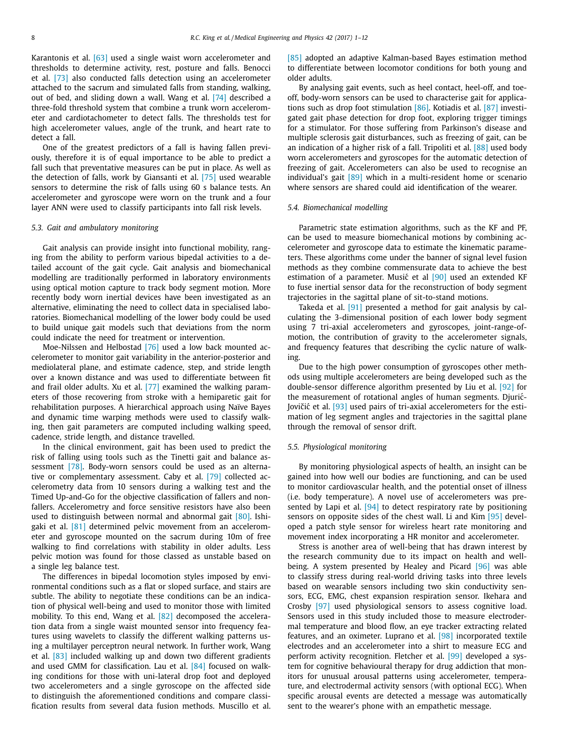<span id="page-7-0"></span>Karantonis et al. [\[63\]](#page-10-0) used a single waist worn accelerometer and thresholds to determine activity, rest, posture and falls. Benocci et al. [\[73\]](#page-10-0) also conducted falls detection using an accelerometer attached to the sacrum and simulated falls from standing, walking, out of bed, and sliding down a wall. Wang et al. [\[74\]](#page-10-0) described a three-fold threshold system that combine a trunk worn accelerometer and cardiotachometer to detect falls. The thresholds test for high accelerometer values, angle of the trunk, and heart rate to detect a fall.

One of the greatest predictors of a fall is having fallen previously, therefore it is of equal importance to be able to predict a fall such that preventative measures can be put in place. As well as the detection of falls, work by Giansanti et al. [\[75\]](#page-11-0) used wearable sensors to determine the risk of falls using 60 s balance tests. An accelerometer and gyroscope were worn on the trunk and a four layer ANN were used to classify participants into fall risk levels.

#### *5.3. Gait and ambulatory monitoring*

Gait analysis can provide insight into functional mobility, ranging from the ability to perform various bipedal activities to a detailed account of the gait cycle. Gait analysis and biomechanical modelling are traditionally performed in laboratory environments using optical motion capture to track body segment motion. More recently body worn inertial devices have been investigated as an alternative, eliminating the need to collect data in specialised laboratories. Biomechanical modelling of the lower body could be used to build unique gait models such that deviations from the norm could indicate the need for treatment or intervention.

Moe-Nilssen and Helbostad [\[76\]](#page-11-0) used a low back mounted accelerometer to monitor gait variability in the anterior-posterior and mediolateral plane, and estimate cadence, step, and stride length over a known distance and was used to differentiate between fit and frail older adults. Xu et al. [\[77\]](#page-11-0) examined the walking parameters of those recovering from stroke with a hemiparetic gait for rehabilitation purposes. A hierarchical approach using Naïve Bayes and dynamic time warping methods were used to classify walking, then gait parameters are computed including walking speed, cadence, stride length, and distance travelled.

In the clinical environment, gait has been used to predict the risk of falling using tools such as the Tinetti gait and balance assessment [\[78\].](#page-11-0) Body-worn sensors could be used as an alternative or complementary assessment. Caby et al. [\[79\]](#page-11-0) collected accelerometry data from 10 sensors during a walking test and the Timed Up-and-Go for the objective classification of fallers and nonfallers. Accelerometry and force sensitive resistors have also been used to distinguish between normal and abnormal gait [\[80\].](#page-11-0) Ishigaki et al. [\[81\]](#page-11-0) determined pelvic movement from an accelerometer and gyroscope mounted on the sacrum during 10m of free walking to find correlations with stability in older adults. Less pelvic motion was found for those classed as unstable based on a single leg balance test.

The differences in bipedal locomotion styles imposed by environmental conditions such as a flat or sloped surface, and stairs are subtle. The ability to negotiate these conditions can be an indication of physical well-being and used to monitor those with limited mobility. To this end, Wang et al. [\[82\]](#page-11-0) decomposed the acceleration data from a single waist mounted sensor into frequency features using wavelets to classify the different walking patterns using a multilayer perceptron neural network. In further work, Wang et al. [\[83\]](#page-11-0) included walking up and down two different gradients and used GMM for classification. Lau et al. [\[84\]](#page-11-0) focused on walking conditions for those with uni-lateral drop foot and deployed two accelerometers and a single gyroscope on the affected side to distinguish the aforementioned conditions and compare classification results from several data fusion methods. Muscillo et al. [\[85\]](#page-11-0) adopted an adaptive Kalman-based Bayes estimation method to differentiate between locomotor conditions for both young and older adults.

By analysing gait events, such as heel contact, heel-off, and toeoff, body-worn sensors can be used to characterise gait for applications such as drop foot stimulation [\[86\].](#page-11-0) Kotiadis et al. [\[87\]](#page-11-0) investigated gait phase detection for drop foot, exploring trigger timings for a stimulator. For those suffering from Parkinson's disease and multiple sclerosis gait disturbances, such as freezing of gait, can be an indication of a higher risk of a fall. Tripoliti et al. [\[88\]](#page-11-0) used body worn accelerometers and gyroscopes for the automatic detection of freezing of gait. Accelerometers can also be used to recognise an individual's gait [\[89\]](#page-11-0) which in a multi-resident home or scenario where sensors are shared could aid identification of the wearer.

#### *5.4. Biomechanical modelling*

Parametric state estimation algorithms, such as the KF and PF, can be used to measure biomechanical motions by combining accelerometer and gyroscope data to estimate the kinematic parameters. These algorithms come under the banner of signal level fusion methods as they combine commensurate data to achieve the best estimation of a parameter. Music<sup>et</sup> al [\[90\]](#page-11-0) used an extended KF to fuse inertial sensor data for the reconstruction of body segment trajectories in the sagittal plane of sit-to-stand motions.

Takeda et al. [\[91\]](#page-11-0) presented a method for gait analysis by calculating the 3-dimensional position of each lower body segment using 7 tri-axial accelerometers and gyroscopes, joint-range-ofmotion, the contribution of gravity to the accelerometer signals, and frequency features that describing the cyclic nature of walking.

Due to the high power consumption of gyroscopes other methods using multiple accelerometers are being developed such as the double-sensor difference algorithm presented by Liu et al. [\[92\]](#page-11-0) for the measurement of rotational angles of human segments. Djuric-´ Jovičić et al. <a>[\[93\]](#page-11-0)</a> used pairs of tri-axial accelerometers for the estimation of leg segment angles and trajectories in the sagittal plane through the removal of sensor drift.

#### *5.5. Physiological monitoring*

By monitoring physiological aspects of health, an insight can be gained into how well our bodies are functioning, and can be used to monitor cardiovascular health, and the potential onset of illness (i.e. body temperature). A novel use of accelerometers was presented by Lapi et al.  $[94]$  to detect respiratory rate by positioning sensors on opposite sides of the chest wall. Li and Kim [\[95\]](#page-11-0) developed a patch style sensor for wireless heart rate monitoring and movement index incorporating a HR monitor and accelerometer.

Stress is another area of well-being that has drawn interest by the research community due to its impact on health and wellbeing. A system presented by Healey and Picard [\[96\]](#page-11-0) was able to classify stress during real-world driving tasks into three levels based on wearable sensors including two skin conductivity sensors, ECG, EMG, chest expansion respiration sensor. Ikehara and Crosby [\[97\]](#page-11-0) used physiological sensors to assess cognitive load. Sensors used in this study included those to measure electrodermal temperature and blood flow, an eye tracker extracting related features, and an oximeter. Luprano et al. [\[98\]](#page-11-0) incorporated textile electrodes and an accelerometer into a shirt to measure ECG and perform activity recognition. Fletcher et al. [\[99\]](#page-11-0) developed a system for cognitive behavioural therapy for drug addiction that monitors for unusual arousal patterns using accelerometer, temperature, and electrodermal activity sensors (with optional ECG). When specific arousal events are detected a message was automatically sent to the wearer's phone with an empathetic message.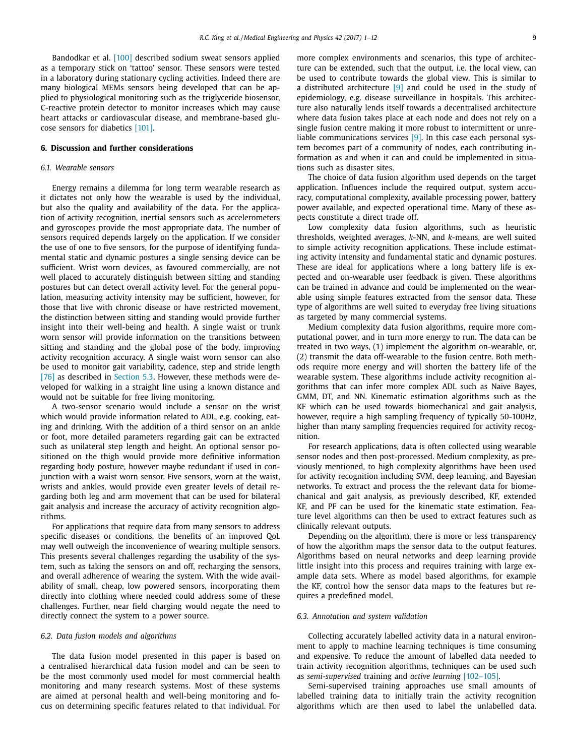Bandodkar et al. [\[100\]](#page-11-0) described sodium sweat sensors applied as a temporary stick on 'tattoo' sensor. These sensors were tested in a laboratory during stationary cycling activities. Indeed there are many biological MEMs sensors being developed that can be applied to physiological monitoring such as the triglyceride biosensor, C-reactive protein detector to monitor increases which may cause heart attacks or cardiovascular disease, and membrane-based glucose sensors for diabetics [\[101\].](#page-11-0)

#### **6. Discussion and further considerations**

#### *6.1. Wearable sensors*

Energy remains a dilemma for long term wearable research as it dictates not only how the wearable is used by the individual, but also the quality and availability of the data. For the application of activity recognition, inertial sensors such as accelerometers and gyroscopes provide the most appropriate data. The number of sensors required depends largely on the application. If we consider the use of one to five sensors, for the purpose of identifying fundamental static and dynamic postures a single sensing device can be sufficient. Wrist worn devices, as favoured commercially, are not well placed to accurately distinguish between sitting and standing postures but can detect overall activity level. For the general population, measuring activity intensity may be sufficient, however, for those that live with chronic disease or have restricted movement, the distinction between sitting and standing would provide further insight into their well-being and health. A single waist or trunk worn sensor will provide information on the transitions between sitting and standing and the global pose of the body, improving activity recognition accuracy. A single waist worn sensor can also be used to monitor gait variability, cadence, step and stride length [\[76\]](#page-11-0) as described in [Section](#page-7-0) 5.3. However, these methods were developed for walking in a straight line using a known distance and would not be suitable for free living monitoring.

A two-sensor scenario would include a sensor on the wrist which would provide information related to ADL, e.g. cooking, eating and drinking. With the addition of a third sensor on an ankle or foot, more detailed parameters regarding gait can be extracted such as unilateral step length and height. An optional sensor positioned on the thigh would provide more definitive information regarding body posture, however maybe redundant if used in conjunction with a waist worn sensor. Five sensors, worn at the waist, wrists and ankles, would provide even greater levels of detail regarding both leg and arm movement that can be used for bilateral gait analysis and increase the accuracy of activity recognition algorithms.

For applications that require data from many sensors to address specific diseases or conditions, the benefits of an improved QoL may well outweigh the inconvenience of wearing multiple sensors. This presents several challenges regarding the usability of the system, such as taking the sensors on and off, recharging the sensors, and overall adherence of wearing the system. With the wide availability of small, cheap, low powered sensors, incorporating them directly into clothing where needed could address some of these challenges. Further, near field charging would negate the need to directly connect the system to a power source.

#### *6.2. Data fusion models and algorithms*

The data fusion model presented in this paper is based on a centralised hierarchical data fusion model and can be seen to be the most commonly used model for most commercial health monitoring and many research systems. Most of these systems are aimed at personal health and well-being monitoring and focus on determining specific features related to that individual. For more complex environments and scenarios, this type of architecture can be extended, such that the output, i.e. the local view, can be used to contribute towards the global view. This is similar to a distributed architecture  $[9]$  and could be used in the study of epidemiology, e.g. disease surveillance in hospitals. This architecture also naturally lends itself towards a decentralised architecture where data fusion takes place at each node and does not rely on a single fusion centre making it more robust to intermittent or unreliable communications services [\[9\].](#page-9-0) In this case each personal system becomes part of a community of nodes, each contributing information as and when it can and could be implemented in situations such as disaster sites.

The choice of data fusion algorithm used depends on the target application. Influences include the required output, system accuracy, computational complexity, available processing power, battery power available, and expected operational time. Many of these aspects constitute a direct trade off.

Low complexity data fusion algorithms, such as heuristic thresholds, weighted averages, *k*-NN, and *k*-means, are well suited to simple activity recognition applications. These include estimating activity intensity and fundamental static and dynamic postures. These are ideal for applications where a long battery life is expected and on-wearable user feedback is given. These algorithms can be trained in advance and could be implemented on the wearable using simple features extracted from the sensor data. These type of algorithms are well suited to everyday free living situations as targeted by many commercial systems.

Medium complexity data fusion algorithms, require more computational power, and in turn more energy to run. The data can be treated in two ways, (1) implement the algorithm on-wearable, or, (2) transmit the data off-wearable to the fusion centre. Both methods require more energy and will shorten the battery life of the wearable system. These algorithms include activity recognition algorithms that can infer more complex ADL such as Naive Bayes, GMM, DT, and NN. Kinematic estimation algorithms such as the KF which can be used towards biomechanical and gait analysis, however, require a high sampling frequency of typically 50-100Hz, higher than many sampling frequencies required for activity recognition.

For research applications, data is often collected using wearable sensor nodes and then post-processed. Medium complexity, as previously mentioned, to high complexity algorithms have been used for activity recognition including SVM, deep learning, and Bayesian networks. To extract and process the the relevant data for biomechanical and gait analysis, as previously described, KF, extended KF, and PF can be used for the kinematic state estimation. Feature level algorithms can then be used to extract features such as clinically relevant outputs.

Depending on the algorithm, there is more or less transparency of how the algorithm maps the sensor data to the output features. Algorithms based on neural networks and deep learning provide little insight into this process and requires training with large example data sets. Where as model based algorithms, for example the KF, control how the sensor data maps to the features but requires a predefined model.

## *6.3. Annotation and system validation*

Collecting accurately labelled activity data in a natural environment to apply to machine learning techniques is time consuming and expensive. To reduce the amount of labelled data needed to train activity recognition algorithms, techniques can be used such as *semi-supervised* training and *active learning* [\[102–105\].](#page-11-0)

Semi-supervised training approaches use small amounts of labelled training data to initially train the activity recognition algorithms which are then used to label the unlabelled data.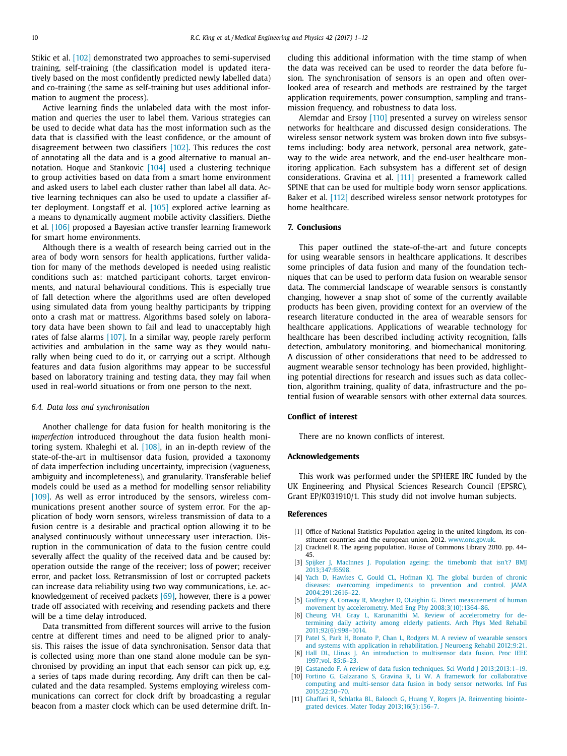<span id="page-9-0"></span>Stikic et al. [\[102\]](#page-11-0) demonstrated two approaches to semi-supervised training, self-training (the classification model is updated iteratively based on the most confidently predicted newly labelled data) and co-training (the same as self-training but uses additional information to augment the process).

Active learning finds the unlabeled data with the most information and queries the user to label them. Various strategies can be used to decide what data has the most information such as the data that is classified with the least confidence, or the amount of disagreement between two classifiers [\[102\].](#page-11-0) This reduces the cost of annotating all the data and is a good alternative to manual annotation. Hoque and Stankovic [\[104\]](#page-11-0) used a clustering technique to group activities based on data from a smart home environment and asked users to label each cluster rather than label all data. Active learning techniques can also be used to update a classifier after deployment. Longstaff et al. [\[105\]](#page-11-0) explored active learning as a means to dynamically augment mobile activity classifiers. Diethe et al. [\[106\]](#page-11-0) proposed a Bayesian active transfer learning framework for smart home environments.

Although there is a wealth of research being carried out in the area of body worn sensors for health applications, further validation for many of the methods developed is needed using realistic conditions such as: matched participant cohorts, target environments, and natural behavioural conditions. This is especially true of fall detection where the algorithms used are often developed using simulated data from young healthy participants by tripping onto a crash mat or mattress. Algorithms based solely on laboratory data have been shown to fail and lead to unacceptably high rates of false alarms [\[107\].](#page-11-0) In a similar way, people rarely perform activities and ambulation in the same way as they would naturally when being cued to do it, or carrying out a script. Although features and data fusion algorithms may appear to be successful based on laboratory training and testing data, they may fail when used in real-world situations or from one person to the next.

#### *6.4. Data loss and synchronisation*

Another challenge for data fusion for health monitoring is the *imperfection* introduced throughout the data fusion health monitoring system. Khaleghi et al. [\[108\],](#page-11-0) in an in-depth review of the state-of-the-art in multisensor data fusion, provided a taxonomy of data imperfection including uncertainty, imprecision (vagueness, ambiguity and incompleteness), and granularity. Transferable belief models could be used as a method for modelling sensor reliability [\[109\].](#page-11-0) As well as error introduced by the sensors, wireless communications present another source of system error. For the application of body worn sensors, wireless transmission of data to a fusion centre is a desirable and practical option allowing it to be analysed continuously without unnecessary user interaction. Disruption in the communication of data to the fusion centre could severally affect the quality of the received data and be caused by: operation outside the range of the receiver; loss of power; receiver error, and packet loss. Retransmission of lost or corrupted packets can increase data reliability using two way communications, i.e. acknowledgement of received packets [\[69\],](#page-10-0) however, there is a power trade off associated with receiving and resending packets and there will be a time delay introduced.

Data transmitted from different sources will arrive to the fusion centre at different times and need to be aligned prior to analysis. This raises the issue of data synchronisation. Sensor data that is collected using more than one stand alone module can be synchronised by providing an input that each sensor can pick up, e.g. a series of taps made during recording. Any drift can then be calculated and the data resampled. Systems employing wireless communications can correct for clock drift by broadcasting a regular beacon from a master clock which can be used determine drift. Including this additional information with the time stamp of when the data was received can be used to reorder the data before fusion. The synchronisation of sensors is an open and often overlooked area of research and methods are restrained by the target application requirements, power consumption, sampling and transmission frequency, and robustness to data loss.

Alemdar and Ersoy [\[110\]](#page-11-0) presented a survey on wireless sensor networks for healthcare and discussed design considerations. The wireless sensor network system was broken down into five subsystems including: body area network, personal area network, gateway to the wide area network, and the end-user healthcare monitoring application. Each subsystem has a different set of design considerations. Gravina et al. [\[111\]](#page-11-0) presented a framework called SPINE that can be used for multiple body worn sensor applications. Baker et al. [\[112\]](#page-11-0) described wireless sensor network prototypes for home healthcare.

## **7. Conclusions**

This paper outlined the state-of-the-art and future concepts for using wearable sensors in healthcare applications. It describes some principles of data fusion and many of the foundation techniques that can be used to perform data fusion on wearable sensor data. The commercial landscape of wearable sensors is constantly changing, however a snap shot of some of the currently available products has been given, providing context for an overview of the research literature conducted in the area of wearable sensors for healthcare applications. Applications of wearable technology for healthcare has been described including activity recognition, falls detection, ambulatory monitoring, and biomechanical monitoring. A discussion of other considerations that need to be addressed to augment wearable sensor technology has been provided, highlighting potential directions for research and issues such as data collection, algorithm training, quality of data, infrastructure and the potential fusion of wearable sensors with other external data sources.

#### **Conflict of interest**

There are no known conflicts of interest.

#### **Acknowledgements**

This work was performed under the SPHERE IRC funded by the UK Engineering and Physical Sciences Research Council (EPSRC), Grant EP/K031910/1. This study did not involve human subjects.

#### **References**

- [1] Office of National Statistics Population ageing in the united kingdom, its constituent countries and the european union. 2012. [www.ons.gov.uk.](http://www.ons.gov.uk)
- [2] Cracknell R. The ageing population. House of Commons Library 2010. pp. 44– 45.
- [3] [Spijker](http://refhub.elsevier.com/S1350-4533(17)30015-2/sbref0001) J, [MacInnes](http://refhub.elsevier.com/S1350-4533(17)30015-2/sbref0001) J. Population ageing: the timebomb that isn't? BMJ [2013;347:f6598.](http://refhub.elsevier.com/S1350-4533(17)30015-2/sbref0001)
- [4] [Yach](http://refhub.elsevier.com/S1350-4533(17)30015-2/sbref0002) D, [Hawkes](http://refhub.elsevier.com/S1350-4533(17)30015-2/sbref0002) C, [Gould](http://refhub.elsevier.com/S1350-4533(17)30015-2/sbref0002) CL, [Hofman](http://refhub.elsevier.com/S1350-4533(17)30015-2/sbref0002) KJ. The global burden of chronic diseases: overcoming impediments to prevention and control. JAMA [2004;291:2616–22.](http://refhub.elsevier.com/S1350-4533(17)30015-2/sbref0002)
- [5] [Godfrey](http://refhub.elsevier.com/S1350-4533(17)30015-2/sbref0003) A, [Conway](http://refhub.elsevier.com/S1350-4533(17)30015-2/sbref0003) R, [Meagher](http://refhub.elsevier.com/S1350-4533(17)30015-2/sbref0003) D, [OLaighin](http://refhub.elsevier.com/S1350-4533(17)30015-2/sbref0003) G. Direct measurement of human movement by accelerometry. Med Eng Phy [2008;3\(10\):1364–86.](http://refhub.elsevier.com/S1350-4533(17)30015-2/sbref0003)
- [6] [Cheung](http://refhub.elsevier.com/S1350-4533(17)30015-2/sbref0004) VH, [Gray](http://refhub.elsevier.com/S1350-4533(17)30015-2/sbref0004) L, [Karunanithi](http://refhub.elsevier.com/S1350-4533(17)30015-2/sbref0004) M. Review of accelerometry for determining daily activity among elderly patients. Arch Phys Med Rehabil [2011;92\(6\):998–1014.](http://refhub.elsevier.com/S1350-4533(17)30015-2/sbref0004)
- [7] [Patel](http://refhub.elsevier.com/S1350-4533(17)30015-2/sbref0005) S, [Park](http://refhub.elsevier.com/S1350-4533(17)30015-2/sbref0005) H, [Bonato](http://refhub.elsevier.com/S1350-4533(17)30015-2/sbref0005) P, [Chan](http://refhub.elsevier.com/S1350-4533(17)30015-2/sbref0005) L, [Rodgers](http://refhub.elsevier.com/S1350-4533(17)30015-2/sbref0005) M. A review of wearable sensors and systems with application in [rehabilitation.](http://refhub.elsevier.com/S1350-4533(17)30015-2/sbref0005) J Neuroeng Rehabil 2012;9:21.
- [8] [Hall](http://refhub.elsevier.com/S1350-4533(17)30015-2/sbref0006) DL, [Llinas](http://refhub.elsevier.com/S1350-4533(17)30015-2/sbref0006) J. An [introduction](http://refhub.elsevier.com/S1350-4533(17)30015-2/sbref0006) to multisensor data fusion. Proc IEEE 1997;vol. 85:6–23.
- [9] [Castanedo](http://refhub.elsevier.com/S1350-4533(17)30015-2/sbref0007) F. A review of data fusion techniques. Sci World J [2013;2013:1–19.](http://refhub.elsevier.com/S1350-4533(17)30015-2/sbref0007) [10] [Fortino](http://refhub.elsevier.com/S1350-4533(17)30015-2/sbref0008) G, [Galzarano](http://refhub.elsevier.com/S1350-4533(17)30015-2/sbref0008) S, [Gravina](http://refhub.elsevier.com/S1350-4533(17)30015-2/sbref0008) R, Li [W.](http://refhub.elsevier.com/S1350-4533(17)30015-2/sbref0008) A framework for collaborative
- computing and multi-sensor data fusion in body sensor networks. Inf Fus [2015;22:50–70.](http://refhub.elsevier.com/S1350-4533(17)30015-2/sbref0008)
- [11] [Ghaffari](http://refhub.elsevier.com/S1350-4533(17)30015-2/sbref0009) R, [Schlatka](http://refhub.elsevier.com/S1350-4533(17)30015-2/sbref0009) BL, [Balooch](http://refhub.elsevier.com/S1350-4533(17)30015-2/sbref0009) G, [Huang](http://refhub.elsevier.com/S1350-4533(17)30015-2/sbref0009) Y, [Rogers](http://refhub.elsevier.com/S1350-4533(17)30015-2/sbref0009) JA. Reinventing biointegrated devices. Mater Today [2013;16\(5\):156–7.](http://refhub.elsevier.com/S1350-4533(17)30015-2/sbref0009)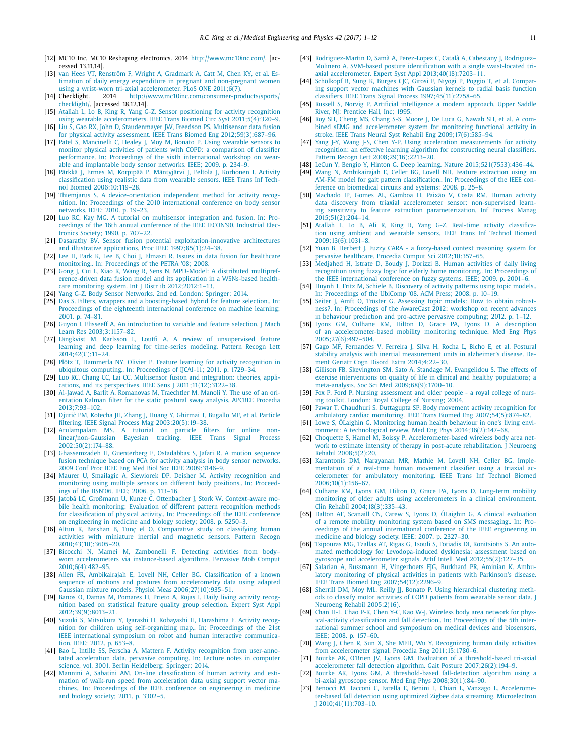- <span id="page-10-0"></span>[12] MC10 Inc. MC10 Reshaping electronics. 2014 [http://www.mc10inc.com/.](http://www.mc10inc.com/) [accessed 13.11.14].
- [13] van [Hees](http://refhub.elsevier.com/S1350-4533(17)30015-2/sbref0010) VT, [Renström](http://refhub.elsevier.com/S1350-4533(17)30015-2/sbref0010) F, [Wright](http://refhub.elsevier.com/S1350-4533(17)30015-2/sbref0010) A, [Gradmark](http://refhub.elsevier.com/S1350-4533(17)30015-2/sbref0010) A, [Catt](http://refhub.elsevier.com/S1350-4533(17)30015-2/sbref0010) M, [Chen](http://refhub.elsevier.com/S1350-4533(17)30015-2/sbref0010) KY, et [al.](http://refhub.elsevier.com/S1350-4533(17)30015-2/sbref0010) Estimation of daily energy expenditure in pregnant and non-pregnant women using a wrist-worn tri-axial [accelerometer.](http://refhub.elsevier.com/S1350-4533(17)30015-2/sbref0010) PLoS ONE 2011;6(7).<br>Checklight. 2014 http://www.mc10inc.com/consumer-pro
- [14] Checklight. 2014 [http://www.mc10inc.com/consumer-products/sports/](http://www.mc10inc.com/consumer-products/sports/checklight/) checklight/. [accessed 18.12.14].
- [15] [Atallah](http://refhub.elsevier.com/S1350-4533(17)30015-2/sbref0011) L, [Lo](http://refhub.elsevier.com/S1350-4533(17)30015-2/sbref0011) B, [King](http://refhub.elsevier.com/S1350-4533(17)30015-2/sbref0011) R, [Yang](http://refhub.elsevier.com/S1350-4533(17)30015-2/sbref0011) G-Z. Sensor positioning for activity recognition using wearable accelerometers. JEEE Trans Biomed Circ Syst 2011;5(4):320-9.
- [16] [Liu](http://refhub.elsevier.com/S1350-4533(17)30015-2/sbref0012) S, [Gao](http://refhub.elsevier.com/S1350-4533(17)30015-2/sbref0012) RX, [John](http://refhub.elsevier.com/S1350-4533(17)30015-2/sbref0012) D, [Staudenmayer](http://refhub.elsevier.com/S1350-4533(17)30015-2/sbref0012) JW, [Freedson](http://refhub.elsevier.com/S1350-4533(17)30015-2/sbref0012) PS. Multisensor data fusion for physical activity assessment. IEEE Trans Biomed Eng [2012;59\(3\):687–96.](http://refhub.elsevier.com/S1350-4533(17)30015-2/sbref0012)
- [17] [Patel](http://refhub.elsevier.com/S1350-4533(17)30015-2/sbref0013) S, [Mancinelli](http://refhub.elsevier.com/S1350-4533(17)30015-2/sbref0013) C, [Healey](http://refhub.elsevier.com/S1350-4533(17)30015-2/sbref0013) J, [Moy](http://refhub.elsevier.com/S1350-4533(17)30015-2/sbref0013) M, [Bonato](http://refhub.elsevier.com/S1350-4533(17)30015-2/sbref0013) P. Using wearable sensors to monitor physical activities of patients with COPD: a comparison of classifier [performance.](http://refhub.elsevier.com/S1350-4533(17)30015-2/sbref0013) In: Proceedings of the sixth international workshop on wearable and implantable body sensor networks. IEEE; 2009. p. 234–9.
- [18] [Pärkkä J,](http://refhub.elsevier.com/S1350-4533(17)30015-2/sbref0014) [Ermes](http://refhub.elsevier.com/S1350-4533(17)30015-2/sbref0014) M, [Korpipää P,](http://refhub.elsevier.com/S1350-4533(17)30015-2/sbref0014) [Mäntyjärvi](http://refhub.elsevier.com/S1350-4533(17)30015-2/sbref0014) J, [Peltola](http://refhub.elsevier.com/S1350-4533(17)30015-2/sbref0014) J, [Korhonen](http://refhub.elsevier.com/S1350-4533(17)30015-2/sbref0014) I. Activity classification using realistic data from wearable sensors. IEEE Trans Inf Technol Biomed [2006;10:119–28.](http://refhub.elsevier.com/S1350-4533(17)30015-2/sbref0014)
- [19] [Thiemjarus](http://refhub.elsevier.com/S1350-4533(17)30015-2/sbref0015) S. A [device-orientation](http://refhub.elsevier.com/S1350-4533(17)30015-2/sbref0015) independent method for activity recognition. In: Proceedings of the 2010 international conference on body sensor networks. IEEE; 2010. p. 19–23.
- [20] [Luo](http://refhub.elsevier.com/S1350-4533(17)30015-2/sbref0016) RC, Kay [MG.](http://refhub.elsevier.com/S1350-4533(17)30015-2/sbref0016) A tutorial on [multisensor](http://refhub.elsevier.com/S1350-4533(17)30015-2/sbref0016) integration and fusion. In: Proceedings of the 16th annual conference of the IEEE IECON'90. Industrial Electronics Society; 1990. p. 707–22.
- [21] [Dasarathy](http://refhub.elsevier.com/S1350-4533(17)30015-2/sbref0017) BV. Sensor fusion potential [exploitation-innovative](http://refhub.elsevier.com/S1350-4533(17)30015-2/sbref0017) architectures and illustrative applications. Proc IEEE 1997;85(1):24–38.
- [22] [Lee](http://refhub.elsevier.com/S1350-4533(17)30015-2/sbref0018) H, [Park](http://refhub.elsevier.com/S1350-4533(17)30015-2/sbref0018) K, [Lee](http://refhub.elsevier.com/S1350-4533(17)30015-2/sbref0018) B, [Choi](http://refhub.elsevier.com/S1350-4533(17)30015-2/sbref0018) J, [Elmasri](http://refhub.elsevier.com/S1350-4533(17)30015-2/sbref0018) R. Issues in data fusion for healthcare [monitoring..](http://refhub.elsevier.com/S1350-4533(17)30015-2/sbref0018) In: Proceedings of the PETRA '08; 2008.
- [23] [Gong](http://refhub.elsevier.com/S1350-4533(17)30015-2/sbref0019) J, [Cui](http://refhub.elsevier.com/S1350-4533(17)30015-2/sbref0019) L, [Xiao](http://refhub.elsevier.com/S1350-4533(17)30015-2/sbref0019) K, [Wang](http://refhub.elsevier.com/S1350-4533(17)30015-2/sbref0019) R, [Sens](http://refhub.elsevier.com/S1350-4533(17)30015-2/sbref0019) N. MPD-Model: A distributed multipreference-driven data fusion model and its application in a WSNs-based healthcare monitoring system. Int J Distr ib [2012;2012:1–13.](http://refhub.elsevier.com/S1350-4533(17)30015-2/sbref0019)
- [24] [Yang](http://refhub.elsevier.com/S1350-4533(17)30015-2/sbref0020) G-Z. Body Sensor [Networks.](http://refhub.elsevier.com/S1350-4533(17)30015-2/sbref0020) 2nd ed. London: Springer; 2014.
- [25] [Das](http://refhub.elsevier.com/S1350-4533(17)30015-2/sbref0021) S. Filters, wrappers and a [boosting-based](http://refhub.elsevier.com/S1350-4533(17)30015-2/sbref0021) hybrid for feature selection.. In: Proceedings of the eighteenth international conference on machine learning; 2001. p. 74–81.
- [26] [Guyon](http://refhub.elsevier.com/S1350-4533(17)30015-2/sbref0022) I, [Elisseeff A.](http://refhub.elsevier.com/S1350-4533(17)30015-2/sbref0022) An introduction to variable and feature selection. J Mach Learn Res [2003;3:1157–82.](http://refhub.elsevier.com/S1350-4533(17)30015-2/sbref0022)
- [27] [Längkvist](http://refhub.elsevier.com/S1350-4533(17)30015-2/sbref0023) M, [Karlsson](http://refhub.elsevier.com/S1350-4533(17)30015-2/sbref0023) L, [Loutfi A.](http://refhub.elsevier.com/S1350-4533(17)30015-2/sbref0023) A review of unsupervised feature learning and deep learning for time-series modeling. Pattern Recogn Lett [2014;42\(C\):11–24.](http://refhub.elsevier.com/S1350-4533(17)30015-2/sbref0023)
- [28] [Plötz](http://refhub.elsevier.com/S1350-4533(17)30015-2/sbref0024) T, [Hammerla](http://refhub.elsevier.com/S1350-4533(17)30015-2/sbref0024) NY, [Olivier](http://refhub.elsevier.com/S1350-4533(17)30015-2/sbref0024) P. Feature learning for activity recognition in ubiquitous computing.. In: [Proceedings](http://refhub.elsevier.com/S1350-4533(17)30015-2/sbref0024) of IJCAI-11; 2011. p. 1729–34.
- [29] [Luo](http://refhub.elsevier.com/S1350-4533(17)30015-2/sbref0025) RC, [Chang](http://refhub.elsevier.com/S1350-4533(17)30015-2/sbref0025) CC, Lai [CC.](http://refhub.elsevier.com/S1350-4533(17)30015-2/sbref0025) Multisensor fusion and integration: theories, applications, and its perspectives. IEEE Sens J [2011;11\(12\):3122–38.](http://refhub.elsevier.com/S1350-4533(17)30015-2/sbref0025)
- [30] [Al-Jawad](http://refhub.elsevier.com/S1350-4533(17)30015-2/sbref0026) A, [Barlit](http://refhub.elsevier.com/S1350-4533(17)30015-2/sbref0026) A, [Romanovas](http://refhub.elsevier.com/S1350-4533(17)30015-2/sbref0026) M, [Traechtler](http://refhub.elsevier.com/S1350-4533(17)30015-2/sbref0026) M, [Manoli](http://refhub.elsevier.com/S1350-4533(17)30015-2/sbref0026) Y. The use of an orientation Kalman filter for the static postural sway analysis. APCBEE Procedia [2013;7:93–102.](http://refhub.elsevier.com/S1350-4533(17)30015-2/sbref0026)
- [31] Djurić PM, [Kotecha](http://refhub.elsevier.com/S1350-4533(17)30015-2/sbref0027) JH, [Zhang](http://refhub.elsevier.com/S1350-4533(17)30015-2/sbref0027) J, [Huang](http://refhub.elsevier.com/S1350-4533(17)30015-2/sbref0027) Y, [Ghirmai](http://refhub.elsevier.com/S1350-4533(17)30015-2/sbref0027) T, [Bugallo](http://refhub.elsevier.com/S1350-4533(17)30015-2/sbref0027) MF, et [al.](http://refhub.elsevier.com/S1350-4533(17)30015-2/sbref0027) Particle filtering. IEEE Signal Process Mag [2003;20\(5\):19–38.](http://refhub.elsevier.com/S1350-4533(17)30015-2/sbref0027)
- [32] [Arulampalam](http://refhub.elsevier.com/S1350-4533(17)30015-2/sbref0028) MS. A tutorial on particle filters for online non[linear/non-Gaussian](http://refhub.elsevier.com/S1350-4533(17)30015-2/sbref0028) Bayesian tracking. IEEE Trans Signal Process 2002;50(2):174–88.
- [33] [Ghassemzadeh](http://refhub.elsevier.com/S1350-4533(17)30015-2/sbref0029) H, [Guenterberg](http://refhub.elsevier.com/S1350-4533(17)30015-2/sbref0029) E, [Ostadabbas](http://refhub.elsevier.com/S1350-4533(17)30015-2/sbref0029) S, [Jafari](http://refhub.elsevier.com/S1350-4533(17)30015-2/sbref0029) R. A motion sequence fusion technique based on PCA for activity analysis in body sensor networks. 2009 Conf Proc IEEE Eng Med Biol Soc IEEE 2009:3146–9.
- [34] [Maurer](http://refhub.elsevier.com/S1350-4533(17)30015-2/sbref0030) U, [Smailagic](http://refhub.elsevier.com/S1350-4533(17)30015-2/sbref0030) A, [Siewiorek](http://refhub.elsevier.com/S1350-4533(17)30015-2/sbref0030) DP, [Deisher](http://refhub.elsevier.com/S1350-4533(17)30015-2/sbref0030) M. Activity [recognition](http://refhub.elsevier.com/S1350-4533(17)30015-2/sbref0030) and monitoring using multiple sensors on different body positions.. In: Proceedings of the BSN'06. IEEE; 2006. p. 113–16.
- [35] [Jatobá LC,](http://refhub.elsevier.com/S1350-4533(17)30015-2/sbref0031) [Großmann](http://refhub.elsevier.com/S1350-4533(17)30015-2/sbref0031) U, [Kunze](http://refhub.elsevier.com/S1350-4533(17)30015-2/sbref0031) C, [Ottenbacher](http://refhub.elsevier.com/S1350-4533(17)30015-2/sbref0031) J, [Stork](http://refhub.elsevier.com/S1350-4533(17)30015-2/sbref0031) W. [Context-aware](http://refhub.elsevier.com/S1350-4533(17)30015-2/sbref0031) mobile health monitoring: Evaluation of different pattern recognition methods for classification of physical activity.. In: Proceedings off the IEEE conference on engineering in medicine and biology society; 2008. p. 5250–3.
- [36] [Altun](http://refhub.elsevier.com/S1350-4533(17)30015-2/sbref0032) K, [Barshan](http://refhub.elsevier.com/S1350-4533(17)30015-2/sbref0032) B, [Tunç el](http://refhub.elsevier.com/S1350-4533(17)30015-2/sbref0032) O. Comparative study on classifying human activities with miniature inertial and magnetic sensors. Pattern Recogn [2010;43\(10\):3605–20.](http://refhub.elsevier.com/S1350-4533(17)30015-2/sbref0032)
- [37] [Bicocchi](http://refhub.elsevier.com/S1350-4533(17)30015-2/sbref0033) N, [Mamei](http://refhub.elsevier.com/S1350-4533(17)30015-2/sbref0033) M, [Zambonelli](http://refhub.elsevier.com/S1350-4533(17)30015-2/sbref0033) F. Detecting activities from bodyworn accelerometers via instance-based algorithms. Pervasive Mob Comput [2010;6\(4\):482–95.](http://refhub.elsevier.com/S1350-4533(17)30015-2/sbref0033)
- [38] [Allen](http://refhub.elsevier.com/S1350-4533(17)30015-2/sbref0034) FR, [Ambikairajah](http://refhub.elsevier.com/S1350-4533(17)30015-2/sbref0034) E, [Lovell](http://refhub.elsevier.com/S1350-4533(17)30015-2/sbref0034) NH, [Celler](http://refhub.elsevier.com/S1350-4533(17)30015-2/sbref0034) BG. Classification of a known sequence of motions and postures from accelerometry data using adapted Gaussian mixture models. Physiol Meas [2006;27\(10\):935–51.](http://refhub.elsevier.com/S1350-4533(17)30015-2/sbref0034)
- [39] [Banos](http://refhub.elsevier.com/S1350-4533(17)30015-2/sbref0035) O, [Damas](http://refhub.elsevier.com/S1350-4533(17)30015-2/sbref0035) M, [Pomares](http://refhub.elsevier.com/S1350-4533(17)30015-2/sbref0035) H, [Prieto](http://refhub.elsevier.com/S1350-4533(17)30015-2/sbref0035) A, [Rojas](http://refhub.elsevier.com/S1350-4533(17)30015-2/sbref0035) I. Daily living activity recognition based on statistical feature quality group selection. Expert Syst Appl [2012;39\(9\):8013–21.](http://refhub.elsevier.com/S1350-4533(17)30015-2/sbref0035)
- [40] [Suzuki](http://refhub.elsevier.com/S1350-4533(17)30015-2/sbref0036) S, [Mitsukura](http://refhub.elsevier.com/S1350-4533(17)30015-2/sbref0036) Y, [Igarashi](http://refhub.elsevier.com/S1350-4533(17)30015-2/sbref0036) H, [Kobayashi](http://refhub.elsevier.com/S1350-4533(17)30015-2/sbref0036) H, [Harashima](http://refhub.elsevier.com/S1350-4533(17)30015-2/sbref0036) F. Activity recognition for children using [self-organizing](http://refhub.elsevier.com/S1350-4533(17)30015-2/sbref0036) map.. In: Proceedings of the 21st IEEE international symposium on robot and human interactive communication. IEEE; 2012. p. 653–8.
- [41] [Bao](http://refhub.elsevier.com/S1350-4533(17)30015-2/sbref0037) L, [Intille](http://refhub.elsevier.com/S1350-4533(17)30015-2/sbref0037) SS, [Ferscha](http://refhub.elsevier.com/S1350-4533(17)30015-2/sbref0037) A, [Mattern](http://refhub.elsevier.com/S1350-4533(17)30015-2/sbref0037) F. Activity recognition from user-annotated [acceleration](http://refhub.elsevier.com/S1350-4533(17)30015-2/sbref0037) data. pervasive computing. In: Lecture notes in computer science, vol. 3001. Berlin Heidelberg: Springer; 2014.
- [42] [Mannini](http://refhub.elsevier.com/S1350-4533(17)30015-2/sbref0038) A, [Sabatini](http://refhub.elsevier.com/S1350-4533(17)30015-2/sbref0038) AM. On-line [classification](http://refhub.elsevier.com/S1350-4533(17)30015-2/sbref0038) of human activity and estimation of walk-run speed from acceleration data using support vector machines.. In: Proceedings of the IEEE conference on engineering in medicine and biology society; 2011. p. 3302–5.
- [43] [Rodriguez-Martin](http://refhub.elsevier.com/S1350-4533(17)30015-2/sbref0039) D, [Samà A,](http://refhub.elsevier.com/S1350-4533(17)30015-2/sbref0039) [Perez-Lopez](http://refhub.elsevier.com/S1350-4533(17)30015-2/sbref0039) C, [Català A,](http://refhub.elsevier.com/S1350-4533(17)30015-2/sbref0039) [Cabestany](http://refhub.elsevier.com/S1350-4533(17)30015-2/sbref0039) J, Rodriguez– Molinero A. SVM-based posture identification with a single waist-located triaxial accelerometer. Expert Syst Appl [2013;40\(18\):7203–11.](http://refhub.elsevier.com/S1350-4533(17)30015-2/sbref0039)
- [44] [Schölkopf](http://refhub.elsevier.com/S1350-4533(17)30015-2/sbref0040) B, [Sung](http://refhub.elsevier.com/S1350-4533(17)30015-2/sbref0040) K, [Burges](http://refhub.elsevier.com/S1350-4533(17)30015-2/sbref0040) CJC, [Girosi](http://refhub.elsevier.com/S1350-4533(17)30015-2/sbref0040) F, [Niyogi](http://refhub.elsevier.com/S1350-4533(17)30015-2/sbref0040) P, [Poggio](http://refhub.elsevier.com/S1350-4533(17)30015-2/sbref0040) T, et [al.](http://refhub.elsevier.com/S1350-4533(17)30015-2/sbref0040) Comparing support vector machines with Gaussian kernels to radial basis function classifiers. IEEE Trans Signal Process [1997;45\(11\):2758–65.](http://refhub.elsevier.com/S1350-4533(17)30015-2/sbref0040)
- [45] [Russell](http://refhub.elsevier.com/S1350-4533(17)30015-2/sbref0041) S, [Norvig](http://refhub.elsevier.com/S1350-4533(17)30015-2/sbref0041) P. Artificial [intelligence](http://refhub.elsevier.com/S1350-4533(17)30015-2/sbref0041) a modern approach. Upper Saddle River, NJ: Prentice Hall, Inc; 1995.
- [46] [Roy](http://refhub.elsevier.com/S1350-4533(17)30015-2/sbref0042) SH, [Cheng](http://refhub.elsevier.com/S1350-4533(17)30015-2/sbref0042) MS, [Chang](http://refhub.elsevier.com/S1350-4533(17)30015-2/sbref0042) S-S, [Moore](http://refhub.elsevier.com/S1350-4533(17)30015-2/sbref0042) J, De [Luca](http://refhub.elsevier.com/S1350-4533(17)30015-2/sbref0042) G, [Nawab](http://refhub.elsevier.com/S1350-4533(17)30015-2/sbref0042) SH, et [al.](http://refhub.elsevier.com/S1350-4533(17)30015-2/sbref0042) A combined sEMG and accelerometer system for monitoring functional activity in stroke. IEEE Trans Neural Syst Rehabil Eng [2009;17\(6\):585–94.](http://refhub.elsevier.com/S1350-4533(17)30015-2/sbref0042)
- [47] [Yang](http://refhub.elsevier.com/S1350-4533(17)30015-2/sbref0043) J-Y, [Wang](http://refhub.elsevier.com/S1350-4533(17)30015-2/sbref0043) J-S, [Chen](http://refhub.elsevier.com/S1350-4533(17)30015-2/sbref0043) Y-P. Using acceleration measurements for activity recognition: an effective learning algorithm for constructing neural classifiers. Pattern Recogn Lett [2008;29\(16\):2213–20.](http://refhub.elsevier.com/S1350-4533(17)30015-2/sbref0043)
- [48] [LeCun](http://refhub.elsevier.com/S1350-4533(17)30015-2/sbref0044) Y, [Bengio](http://refhub.elsevier.com/S1350-4533(17)30015-2/sbref0044) Y, [Hinton](http://refhub.elsevier.com/S1350-4533(17)30015-2/sbref0044) G. Deep learning. Nature [2015;521\(7553\):436–44.](http://refhub.elsevier.com/S1350-4533(17)30015-2/sbref0044)
- [49] [Wang](http://refhub.elsevier.com/S1350-4533(17)30015-2/sbref0045) N, [Ambikairajah](http://refhub.elsevier.com/S1350-4533(17)30015-2/sbref0045) E, [Celler](http://refhub.elsevier.com/S1350-4533(17)30015-2/sbref0045) BG, [Lovell](http://refhub.elsevier.com/S1350-4533(17)30015-2/sbref0045) NH. Feature extraction using an AM-FM model for gait pattern [classification..](http://refhub.elsevier.com/S1350-4533(17)30015-2/sbref0045) In: Proceedings of the IEEE conference on biomedical circuits and systems; 2008. p. 25–8.
- [50] [Machado](http://refhub.elsevier.com/S1350-4533(17)30015-2/sbref0046) IP, [Gomes](http://refhub.elsevier.com/S1350-4533(17)30015-2/sbref0046) AL, [Gamboa](http://refhub.elsevier.com/S1350-4533(17)30015-2/sbref0046) H, [Paixão](http://refhub.elsevier.com/S1350-4533(17)30015-2/sbref0046) V, [Costa](http://refhub.elsevier.com/S1350-4533(17)30015-2/sbref0046) RM. Human activity data discovery from triaxial accelerometer sensor: non-supervised learning sensitivity to feature extraction parameterization. Inf Process Manag  $2015:51(2):204-14$
- [51] [Atallah](http://refhub.elsevier.com/S1350-4533(17)30015-2/sbref0047) L, [Lo](http://refhub.elsevier.com/S1350-4533(17)30015-2/sbref0047) B, [Ali](http://refhub.elsevier.com/S1350-4533(17)30015-2/sbref0047) R, [King](http://refhub.elsevier.com/S1350-4533(17)30015-2/sbref0047) R, [Yang](http://refhub.elsevier.com/S1350-4533(17)30015-2/sbref0047) G-Z. Real-time activity classification using ambient and wearable sensors. IEEE Trans Inf Technol Biomed [2009;13\(6\):1031–8.](http://refhub.elsevier.com/S1350-4533(17)30015-2/sbref0047)
- [52] [Yuan](http://refhub.elsevier.com/S1350-4533(17)30015-2/sbref0048) B, [Herbert](http://refhub.elsevier.com/S1350-4533(17)30015-2/sbref0048) J. Fuzzy CARA a fuzzy-based context reasoning system for pervasive healthcare. Procedia Comput Sci [2012;10:357–65.](http://refhub.elsevier.com/S1350-4533(17)30015-2/sbref0048)
- [53] [Medjahed](http://refhub.elsevier.com/S1350-4533(17)30015-2/sbref0049) H, [Istrate](http://refhub.elsevier.com/S1350-4533(17)30015-2/sbref0049) D, [Boudy](http://refhub.elsevier.com/S1350-4533(17)30015-2/sbref0049) J, [Dorizzi](http://refhub.elsevier.com/S1350-4533(17)30015-2/sbref0049) B. Human activities of daily living recognition using fuzzy logic for elderly home monitoring.. In: Proceedings of the IEEE [international](http://refhub.elsevier.com/S1350-4533(17)30015-2/sbref0049) conference on fuzzy systems. IEEE; 2009. p. 2001–6.
- [54] [Huynh](http://refhub.elsevier.com/S1350-4533(17)30015-2/sbref0050) T, [Fritz](http://refhub.elsevier.com/S1350-4533(17)30015-2/sbref0050) M, [Schiele](http://refhub.elsevier.com/S1350-4533(17)30015-2/sbref0050) B. Discovery of activity patterns using topic models. In: [Proceedings](http://refhub.elsevier.com/S1350-4533(17)30015-2/sbref0050) of the UbiComp '08. ACM Press; 2008. p. 10–19.
- [55] [Seiter](http://refhub.elsevier.com/S1350-4533(17)30015-2/sbref0051) J, [Amft](http://refhub.elsevier.com/S1350-4533(17)30015-2/sbref0051) O, [Tröster](http://refhub.elsevier.com/S1350-4533(17)30015-2/sbref0051) G. Assessing topic models: How to obtain robustness?. In: [Proceedings](http://refhub.elsevier.com/S1350-4533(17)30015-2/sbref0051) of the AwareCast 2012: workshop on recent advances in behaviour prediction and pro-active pervasive computing; 2012. p. 1–12.
- [56] [Lyons](http://refhub.elsevier.com/S1350-4533(17)30015-2/sbref0052) GM, [Culhane](http://refhub.elsevier.com/S1350-4533(17)30015-2/sbref0052) KM, [Hilton](http://refhub.elsevier.com/S1350-4533(17)30015-2/sbref0052) D, [Grace](http://refhub.elsevier.com/S1350-4533(17)30015-2/sbref0052) PA, Lyons D. A description of an accelerometer-based mobility monitoring technique. Med Eng Phys [2005;27\(6\):497–504.](http://refhub.elsevier.com/S1350-4533(17)30015-2/sbref0052)
- [57] [Gago](http://refhub.elsevier.com/S1350-4533(17)30015-2/sbref0053) MF, [Fernandes](http://refhub.elsevier.com/S1350-4533(17)30015-2/sbref0053) V, [Ferreira](http://refhub.elsevier.com/S1350-4533(17)30015-2/sbref0053) J, [Silva](http://refhub.elsevier.com/S1350-4533(17)30015-2/sbref0053) H, [Rocha](http://refhub.elsevier.com/S1350-4533(17)30015-2/sbref0053) L, [Bicho](http://refhub.elsevier.com/S1350-4533(17)30015-2/sbref0053) E, et [al.](http://refhub.elsevier.com/S1350-4533(17)30015-2/sbref0053) Postural stability analysis with inertial measurement units in alzheimer's disease. Dement Geriatr Cogn Disord Extra [2014;4:22–30.](http://refhub.elsevier.com/S1350-4533(17)30015-2/sbref0053)
- [58] [Gillison](http://refhub.elsevier.com/S1350-4533(17)30015-2/sbref0054) FB, [Skevington](http://refhub.elsevier.com/S1350-4533(17)30015-2/sbref0054) SM, [Sato](http://refhub.elsevier.com/S1350-4533(17)30015-2/sbref0054) A, [Standage](http://refhub.elsevier.com/S1350-4533(17)30015-2/sbref0054) M, [Evangelidou](http://refhub.elsevier.com/S1350-4533(17)30015-2/sbref0054) S. The effects of exercise interventions on quality of life in clinical and healthy populations; a meta-analysis. Soc Sci Med [2009;68\(9\):1700–10.](http://refhub.elsevier.com/S1350-4533(17)30015-2/sbref0054)
- [59] [Fox](http://refhub.elsevier.com/S1350-4533(17)30015-2/sbref0055) P, [Ford](http://refhub.elsevier.com/S1350-4533(17)30015-2/sbref0055) P. Nursing [assessment](http://refhub.elsevier.com/S1350-4533(17)30015-2/sbref0055) and older people a royal college of nursing toolkit. London: Royal College of Nursing; 2004.
- [60] [Pawar](http://refhub.elsevier.com/S1350-4533(17)30015-2/sbref0056) T, [Chaudhuri](http://refhub.elsevier.com/S1350-4533(17)30015-2/sbref0056) S, [Duttagupta](http://refhub.elsevier.com/S1350-4533(17)30015-2/sbref0056) SP. Body movement activity recognition for ambulatory cardiac monitoring. IEEE Trans Biomed Eng [2007;54\(5\):874–82.](http://refhub.elsevier.com/S1350-4533(17)30015-2/sbref0056)
- [61] [Lowe](http://refhub.elsevier.com/S1350-4533(17)30015-2/sbref0057) S, [ÓLaighin](http://refhub.elsevier.com/S1350-4533(17)30015-2/sbref0057) G. Monitoring human health behaviour in one's living environment: A technological review. Med Eng Phys [2014;36\(2\):147–68.](http://refhub.elsevier.com/S1350-4533(17)30015-2/sbref0057)
- [62] [Choquette](http://refhub.elsevier.com/S1350-4533(17)30015-2/sbref0058) S, [Hamel](http://refhub.elsevier.com/S1350-4533(17)30015-2/sbref0058) M, [Boissy](http://refhub.elsevier.com/S1350-4533(17)30015-2/sbref0058) P. [Accelerometer-based](http://refhub.elsevier.com/S1350-4533(17)30015-2/sbref0058) wireless body area network to estimate intensity of therapy in post-acute rehabilitation. J Neuroeng Rehabil 2008;5(2):20.
- [63] [Karantonis](http://refhub.elsevier.com/S1350-4533(17)30015-2/sbref0059) DM, [Narayanan](http://refhub.elsevier.com/S1350-4533(17)30015-2/sbref0059) MR, [Mathie](http://refhub.elsevier.com/S1350-4533(17)30015-2/sbref0059) M, [Lovell](http://refhub.elsevier.com/S1350-4533(17)30015-2/sbref0059) NH, [Celler](http://refhub.elsevier.com/S1350-4533(17)30015-2/sbref0059) BG. Implementation of a real-time human movement classifier using a triaxial accelerometer for ambulatory monitoring. IEEE Trans Inf Technol Biomed [2006;10\(1\):156–67.](http://refhub.elsevier.com/S1350-4533(17)30015-2/sbref0059)
- [64] [Culhane](http://refhub.elsevier.com/S1350-4533(17)30015-2/sbref0060) KM, [Lyons](http://refhub.elsevier.com/S1350-4533(17)30015-2/sbref0060) GM, [Hilton](http://refhub.elsevier.com/S1350-4533(17)30015-2/sbref0060) D, [Grace](http://refhub.elsevier.com/S1350-4533(17)30015-2/sbref0060) PA, Lyons D, Long-term mobility monitoring of older adults using accelerometers in a clinical environment. Clin Rehabil [2004;18\(3\):335–43.](http://refhub.elsevier.com/S1350-4533(17)30015-2/sbref0060)
- [65] [Dalton](http://refhub.elsevier.com/S1350-4533(17)30015-2/sbref0061) AF, [Scanaill](http://refhub.elsevier.com/S1350-4533(17)30015-2/sbref0061) CN, [Carew](http://refhub.elsevier.com/S1350-4533(17)30015-2/sbref0061) S, [Lyons](http://refhub.elsevier.com/S1350-4533(17)30015-2/sbref0061) D, [ÓLaighin](http://refhub.elsevier.com/S1350-4533(17)30015-2/sbref0061) G. A clinical evaluation of a remote mobility monitoring system based on SMS messaging.. In: Proceedings of the annual [international](http://refhub.elsevier.com/S1350-4533(17)30015-2/sbref0061) conference of the IEEE engineering in medicine and biology society. IEEE; 2007. p. 2327–30.
- [66] [Tsipouras](http://refhub.elsevier.com/S1350-4533(17)30015-2/sbref0062) MG, [Tzallas](http://refhub.elsevier.com/S1350-4533(17)30015-2/sbref0062) AT, [Rigas](http://refhub.elsevier.com/S1350-4533(17)30015-2/sbref0062) G, [Tsouli](http://refhub.elsevier.com/S1350-4533(17)30015-2/sbref0062) S, [Fotiadis](http://refhub.elsevier.com/S1350-4533(17)30015-2/sbref0062) DI, [Konitsiotis](http://refhub.elsevier.com/S1350-4533(17)30015-2/sbref0062) S. An automated methodology for Levodopa-induced dyskinesia: assessment based on gyroscope and accelerometer signals. Artif Intell Med [2012;55\(2\):127–35.](http://refhub.elsevier.com/S1350-4533(17)30015-2/sbref0062)
- [67] [Salarian](http://refhub.elsevier.com/S1350-4533(17)30015-2/sbref0063) A, [Russmann](http://refhub.elsevier.com/S1350-4533(17)30015-2/sbref0063) H, [Vingerhoets](http://refhub.elsevier.com/S1350-4533(17)30015-2/sbref0063) FJG, [Burkhard](http://refhub.elsevier.com/S1350-4533(17)30015-2/sbref0063) PR, [Aminian](http://refhub.elsevier.com/S1350-4533(17)30015-2/sbref0063) K. Ambulatory monitoring of physical activities in patients with Parkinson's disease. IEEE Trans Biomed Eng [2007;54\(12\):2296–9.](http://refhub.elsevier.com/S1350-4533(17)30015-2/sbref0063)
- [68] [Sherrill](http://refhub.elsevier.com/S1350-4533(17)30015-2/sbref0064) DM, [Moy](http://refhub.elsevier.com/S1350-4533(17)30015-2/sbref0064) ML, [Reilly](http://refhub.elsevier.com/S1350-4533(17)30015-2/sbref0064) JJ, [Bonato](http://refhub.elsevier.com/S1350-4533(17)30015-2/sbref0064) P. Using [hierarchical](http://refhub.elsevier.com/S1350-4533(17)30015-2/sbref0064) clustering methods to classify motor activities of COPD patients from wearable sensor data. J Neuroeng Rehabil 2005;2(16).
- [69] [Chan](http://refhub.elsevier.com/S1350-4533(17)30015-2/sbref0065) H-L, [Chao](http://refhub.elsevier.com/S1350-4533(17)30015-2/sbref0065) P-K, [Chen](http://refhub.elsevier.com/S1350-4533(17)30015-2/sbref0065) Y-C, Kao [W-J.](http://refhub.elsevier.com/S1350-4533(17)30015-2/sbref0065) Wireless body area network for physical-activity [classification](http://refhub.elsevier.com/S1350-4533(17)30015-2/sbref0065) and fall detection.. In: Proceedings of the 5th international summer school and symposium on medical devices and biosensors. IEEE; 2008. p. 157–60.
- [70] [Wang](http://refhub.elsevier.com/S1350-4533(17)30015-2/sbref0066) J, [Chen](http://refhub.elsevier.com/S1350-4533(17)30015-2/sbref0066) R, [Sun](http://refhub.elsevier.com/S1350-4533(17)30015-2/sbref0066) X, She [MFH,](http://refhub.elsevier.com/S1350-4533(17)30015-2/sbref0066) [Wu](http://refhub.elsevier.com/S1350-4533(17)30015-2/sbref0066) Y. Recognizing human daily activities from accelerometer signal. Procedia Eng [2011;15:1780–6.](http://refhub.elsevier.com/S1350-4533(17)30015-2/sbref0066)
- [71] [Bourke](http://refhub.elsevier.com/S1350-4533(17)30015-2/sbref0067) AK, [O'Brien](http://refhub.elsevier.com/S1350-4533(17)30015-2/sbref0067) JV, [Lyons](http://refhub.elsevier.com/S1350-4533(17)30015-2/sbref0067) GM. Evaluation of a threshold-based tri-axial accelerometer fall detection algorithm. Gait Posture [2007;26\(2\):194–9.](http://refhub.elsevier.com/S1350-4533(17)30015-2/sbref0067)
- [72] [Bourke](http://refhub.elsevier.com/S1350-4533(17)30015-2/sbref0068) AK, [Lyons](http://refhub.elsevier.com/S1350-4533(17)30015-2/sbref0068) GM. A threshold-based fall-detection algorithm using a bi-axial gyroscope sensor. Med Eng Phys [2008;30\(1\):84–90.](http://refhub.elsevier.com/S1350-4533(17)30015-2/sbref0068)
- [73] [Benocci](http://refhub.elsevier.com/S1350-4533(17)30015-2/sbref0069) M, [Tacconi](http://refhub.elsevier.com/S1350-4533(17)30015-2/sbref0069) C, [Farella](http://refhub.elsevier.com/S1350-4533(17)30015-2/sbref0069) E, [Benini](http://refhub.elsevier.com/S1350-4533(17)30015-2/sbref0069) L, [Chiari](http://refhub.elsevier.com/S1350-4533(17)30015-2/sbref0069) L, [Vanzago](http://refhub.elsevier.com/S1350-4533(17)30015-2/sbref0069) L. Accelerometer-based fall detection using optimized Zigbee data streaming. Microelectron J [2010;41\(11\):703–10.](http://refhub.elsevier.com/S1350-4533(17)30015-2/sbref0069)